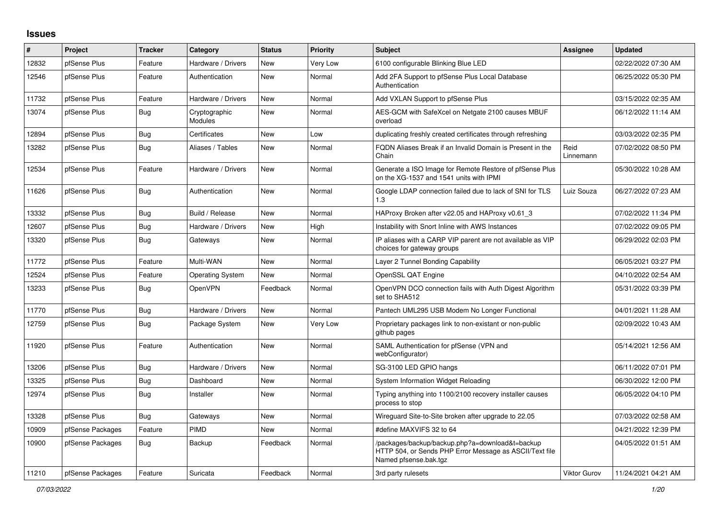## **Issues**

| #     | Project          | <b>Tracker</b> | Category                 | <b>Status</b> | <b>Priority</b> | <b>Subject</b>                                                                                                                      | <b>Assignee</b>     | <b>Updated</b>      |
|-------|------------------|----------------|--------------------------|---------------|-----------------|-------------------------------------------------------------------------------------------------------------------------------------|---------------------|---------------------|
| 12832 | pfSense Plus     | Feature        | Hardware / Drivers       | <b>New</b>    | <b>Very Low</b> | 6100 configurable Blinking Blue LED                                                                                                 |                     | 02/22/2022 07:30 AM |
| 12546 | pfSense Plus     | Feature        | Authentication           | <b>New</b>    | Normal          | Add 2FA Support to pfSense Plus Local Database<br>Authentication                                                                    |                     | 06/25/2022 05:30 PM |
| 11732 | pfSense Plus     | Feature        | Hardware / Drivers       | <b>New</b>    | Normal          | Add VXLAN Support to pfSense Plus                                                                                                   |                     | 03/15/2022 02:35 AM |
| 13074 | pfSense Plus     | Bug            | Cryptographic<br>Modules | <b>New</b>    | Normal          | AES-GCM with SafeXcel on Netgate 2100 causes MBUF<br>overload                                                                       |                     | 06/12/2022 11:14 AM |
| 12894 | pfSense Plus     | Bug            | Certificates             | <b>New</b>    | Low             | duplicating freshly created certificates through refreshing                                                                         |                     | 03/03/2022 02:35 PM |
| 13282 | pfSense Plus     | Bug            | Aliases / Tables         | <b>New</b>    | Normal          | FQDN Aliases Break if an Invalid Domain is Present in the<br>Chain                                                                  | Reid<br>Linnemann   | 07/02/2022 08:50 PM |
| 12534 | pfSense Plus     | Feature        | Hardware / Drivers       | <b>New</b>    | Normal          | Generate a ISO Image for Remote Restore of pfSense Plus<br>on the XG-1537 and 1541 units with IPMI                                  |                     | 05/30/2022 10:28 AM |
| 11626 | pfSense Plus     | Bug            | Authentication           | <b>New</b>    | Normal          | Google LDAP connection failed due to lack of SNI for TLS<br>1.3                                                                     | Luiz Souza          | 06/27/2022 07:23 AM |
| 13332 | pfSense Plus     | Bug            | Build / Release          | <b>New</b>    | Normal          | HAProxy Broken after v22.05 and HAProxy v0.61 3                                                                                     |                     | 07/02/2022 11:34 PM |
| 12607 | pfSense Plus     | Bug            | Hardware / Drivers       | <b>New</b>    | High            | Instability with Snort Inline with AWS Instances                                                                                    |                     | 07/02/2022 09:05 PM |
| 13320 | pfSense Plus     | Bug            | Gateways                 | <b>New</b>    | Normal          | IP aliases with a CARP VIP parent are not available as VIP<br>choices for gateway groups                                            |                     | 06/29/2022 02:03 PM |
| 11772 | pfSense Plus     | Feature        | Multi-WAN                | <b>New</b>    | Normal          | Layer 2 Tunnel Bonding Capability                                                                                                   |                     | 06/05/2021 03:27 PM |
| 12524 | pfSense Plus     | Feature        | <b>Operating System</b>  | <b>New</b>    | Normal          | OpenSSL QAT Engine                                                                                                                  |                     | 04/10/2022 02:54 AM |
| 13233 | pfSense Plus     | Bug            | OpenVPN                  | Feedback      | Normal          | OpenVPN DCO connection fails with Auth Digest Algorithm<br>set to SHA512                                                            |                     | 05/31/2022 03:39 PM |
| 11770 | pfSense Plus     | Bug            | Hardware / Drivers       | <b>New</b>    | Normal          | Pantech UML295 USB Modem No Longer Functional                                                                                       |                     | 04/01/2021 11:28 AM |
| 12759 | pfSense Plus     | Bug            | Package System           | New           | Very Low        | Proprietary packages link to non-existant or non-public<br>github pages                                                             |                     | 02/09/2022 10:43 AM |
| 11920 | pfSense Plus     | Feature        | Authentication           | <b>New</b>    | Normal          | SAML Authentication for pfSense (VPN and<br>webConfigurator)                                                                        |                     | 05/14/2021 12:56 AM |
| 13206 | pfSense Plus     | Bug            | Hardware / Drivers       | <b>New</b>    | Normal          | SG-3100 LED GPIO hangs                                                                                                              |                     | 06/11/2022 07:01 PM |
| 13325 | pfSense Plus     | <b>Bug</b>     | Dashboard                | <b>New</b>    | Normal          | System Information Widget Reloading                                                                                                 |                     | 06/30/2022 12:00 PM |
| 12974 | pfSense Plus     | Bug            | Installer                | <b>New</b>    | Normal          | Typing anything into 1100/2100 recovery installer causes<br>process to stop                                                         |                     | 06/05/2022 04:10 PM |
| 13328 | pfSense Plus     | Bug            | Gateways                 | New           | Normal          | Wireguard Site-to-Site broken after upgrade to 22.05                                                                                |                     | 07/03/2022 02:58 AM |
| 10909 | pfSense Packages | Feature        | PIMD                     | <b>New</b>    | Normal          | #define MAXVIFS 32 to 64                                                                                                            |                     | 04/21/2022 12:39 PM |
| 10900 | pfSense Packages | <b>Bug</b>     | Backup                   | Feedback      | Normal          | /packages/backup/backup.php?a=download&t=backup<br>HTTP 504, or Sends PHP Error Message as ASCII/Text file<br>Named pfsense.bak.tgz |                     | 04/05/2022 01:51 AM |
| 11210 | pfSense Packages | Feature        | Suricata                 | Feedback      | Normal          | 3rd party rulesets                                                                                                                  | <b>Viktor Gurov</b> | 11/24/2021 04:21 AM |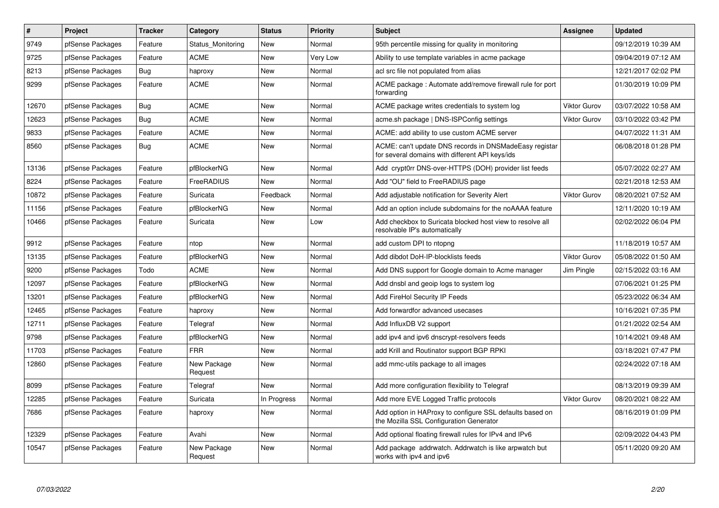| $\vert$ # | <b>Project</b>   | <b>Tracker</b> | Category               | <b>Status</b> | <b>Priority</b> | <b>Subject</b>                                                                                            | <b>Assignee</b>     | <b>Updated</b>      |
|-----------|------------------|----------------|------------------------|---------------|-----------------|-----------------------------------------------------------------------------------------------------------|---------------------|---------------------|
| 9749      | pfSense Packages | Feature        | Status Monitoring      | New           | Normal          | 95th percentile missing for quality in monitoring                                                         |                     | 09/12/2019 10:39 AM |
| 9725      | pfSense Packages | Feature        | <b>ACME</b>            | <b>New</b>    | Very Low        | Ability to use template variables in acme package                                                         |                     | 09/04/2019 07:12 AM |
| 8213      | pfSense Packages | Bug            | haproxy                | New           | Normal          | acl src file not populated from alias                                                                     |                     | 12/21/2017 02:02 PM |
| 9299      | pfSense Packages | Feature        | <b>ACME</b>            | <b>New</b>    | Normal          | ACME package: Automate add/remove firewall rule for port<br>forwarding                                    |                     | 01/30/2019 10:09 PM |
| 12670     | pfSense Packages | Bug            | <b>ACME</b>            | New           | Normal          | ACME package writes credentials to system log                                                             | <b>Viktor Gurov</b> | 03/07/2022 10:58 AM |
| 12623     | pfSense Packages | <b>Bug</b>     | <b>ACME</b>            | <b>New</b>    | Normal          | acme.sh package   DNS-ISPConfig settings                                                                  | <b>Viktor Gurov</b> | 03/10/2022 03:42 PM |
| 9833      | pfSense Packages | Feature        | <b>ACME</b>            | New           | Normal          | ACME: add ability to use custom ACME server                                                               |                     | 04/07/2022 11:31 AM |
| 8560      | pfSense Packages | Bug            | <b>ACME</b>            | <b>New</b>    | Normal          | ACME: can't update DNS records in DNSMadeEasy registar<br>for several domains with different API keys/ids |                     | 06/08/2018 01:28 PM |
| 13136     | pfSense Packages | Feature        | pfBlockerNG            | <b>New</b>    | Normal          | Add crypt0rr DNS-over-HTTPS (DOH) provider list feeds                                                     |                     | 05/07/2022 02:27 AM |
| 8224      | pfSense Packages | Feature        | FreeRADIUS             | <b>New</b>    | Normal          | Add "OU" field to FreeRADIUS page                                                                         |                     | 02/21/2018 12:53 AM |
| 10872     | pfSense Packages | Feature        | Suricata               | Feedback      | Normal          | Add adjustable notification for Severity Alert                                                            | <b>Viktor Gurov</b> | 08/20/2021 07:52 AM |
| 11156     | pfSense Packages | Feature        | pfBlockerNG            | <b>New</b>    | Normal          | Add an option include subdomains for the noAAAA feature                                                   |                     | 12/11/2020 10:19 AM |
| 10466     | pfSense Packages | Feature        | Suricata               | New           | Low             | Add checkbox to Suricata blocked host view to resolve all<br>resolvable IP's automatically                |                     | 02/02/2022 06:04 PM |
| 9912      | pfSense Packages | Feature        | ntop                   | <b>New</b>    | Normal          | add custom DPI to ntopng                                                                                  |                     | 11/18/2019 10:57 AM |
| 13135     | pfSense Packages | Feature        | pfBlockerNG            | <b>New</b>    | Normal          | Add dibdot DoH-IP-blocklists feeds                                                                        | <b>Viktor Gurov</b> | 05/08/2022 01:50 AM |
| 9200      | pfSense Packages | Todo           | <b>ACME</b>            | <b>New</b>    | Normal          | Add DNS support for Google domain to Acme manager                                                         | Jim Pingle          | 02/15/2022 03:16 AM |
| 12097     | pfSense Packages | Feature        | pfBlockerNG            | New           | Normal          | Add dnsbl and geoip logs to system log                                                                    |                     | 07/06/2021 01:25 PM |
| 13201     | pfSense Packages | Feature        | pfBlockerNG            | <b>New</b>    | Normal          | Add FireHol Security IP Feeds                                                                             |                     | 05/23/2022 06:34 AM |
| 12465     | pfSense Packages | Feature        | haproxy                | New           | Normal          | Add forwardfor advanced usecases                                                                          |                     | 10/16/2021 07:35 PM |
| 12711     | pfSense Packages | Feature        | Telegraf               | New           | Normal          | Add InfluxDB V2 support                                                                                   |                     | 01/21/2022 02:54 AM |
| 9798      | pfSense Packages | Feature        | pfBlockerNG            | <b>New</b>    | Normal          | add ipv4 and ipv6 dnscrypt-resolvers feeds                                                                |                     | 10/14/2021 09:48 AM |
| 11703     | pfSense Packages | Feature        | <b>FRR</b>             | <b>New</b>    | Normal          | add Krill and Routinator support BGP RPKI                                                                 |                     | 03/18/2021 07:47 PM |
| 12860     | pfSense Packages | Feature        | New Package<br>Request | <b>New</b>    | Normal          | add mmc-utils package to all images                                                                       |                     | 02/24/2022 07:18 AM |
| 8099      | pfSense Packages | Feature        | Telegraf               | <b>New</b>    | Normal          | Add more configuration flexibility to Telegraf                                                            |                     | 08/13/2019 09:39 AM |
| 12285     | pfSense Packages | Feature        | Suricata               | In Progress   | Normal          | Add more EVE Logged Traffic protocols                                                                     | <b>Viktor Gurov</b> | 08/20/2021 08:22 AM |
| 7686      | pfSense Packages | Feature        | haproxy                | <b>New</b>    | Normal          | Add option in HAProxy to configure SSL defaults based on<br>the Mozilla SSL Configuration Generator       |                     | 08/16/2019 01:09 PM |
| 12329     | pfSense Packages | Feature        | Avahi                  | <b>New</b>    | Normal          | Add optional floating firewall rules for IPv4 and IPv6                                                    |                     | 02/09/2022 04:43 PM |
| 10547     | pfSense Packages | Feature        | New Package<br>Request | <b>New</b>    | Normal          | Add package addrwatch. Addrwatch is like arpwatch but<br>works with ipv4 and ipv6                         |                     | 05/11/2020 09:20 AM |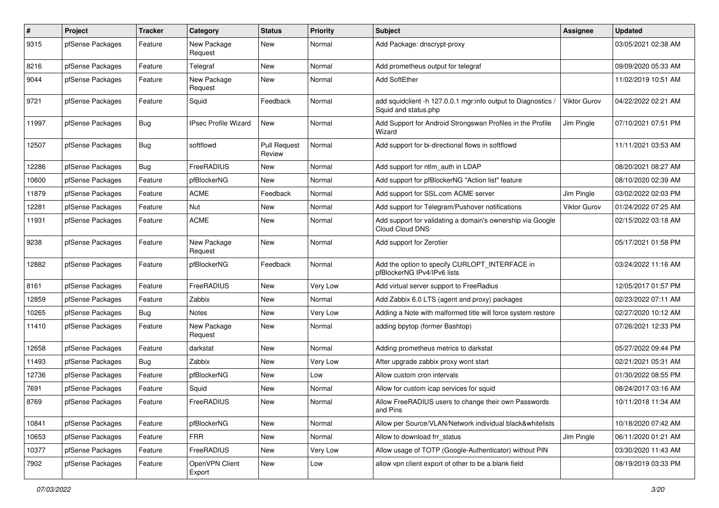| $\pmb{\#}$ | Project          | <b>Tracker</b> | Category                    | <b>Status</b>                 | <b>Priority</b> | <b>Subject</b>                                                                      | Assignee     | <b>Updated</b>      |
|------------|------------------|----------------|-----------------------------|-------------------------------|-----------------|-------------------------------------------------------------------------------------|--------------|---------------------|
| 9315       | pfSense Packages | Feature        | New Package<br>Request      | New                           | Normal          | Add Package: dnscrypt-proxy                                                         |              | 03/05/2021 02:38 AM |
| 8216       | pfSense Packages | Feature        | Telegraf                    | New                           | Normal          | Add prometheus output for telegraf                                                  |              | 09/09/2020 05:33 AM |
| 9044       | pfSense Packages | Feature        | New Package<br>Request      | New                           | Normal          | Add SoftEther                                                                       |              | 11/02/2019 10:51 AM |
| 9721       | pfSense Packages | Feature        | Squid                       | Feedback                      | Normal          | add squidclient -h 127.0.0.1 mgr:info output to Diagnostics<br>Squid and status.php | Viktor Gurov | 04/22/2022 02:21 AM |
| 11997      | pfSense Packages | Bug            | <b>IPsec Profile Wizard</b> | <b>New</b>                    | Normal          | Add Support for Android Strongswan Profiles in the Profile<br>Wizard                | Jim Pingle   | 07/10/2021 07:51 PM |
| 12507      | pfSense Packages | Bug            | softflowd                   | <b>Pull Request</b><br>Review | Normal          | Add support for bi-directional flows in softflowd                                   |              | 11/11/2021 03:53 AM |
| 12286      | pfSense Packages | Bug            | FreeRADIUS                  | New                           | Normal          | Add support for ntlm auth in LDAP                                                   |              | 08/20/2021 08:27 AM |
| 10600      | pfSense Packages | Feature        | pfBlockerNG                 | New                           | Normal          | Add support for pfBlockerNG "Action list" feature                                   |              | 08/10/2020 02:39 AM |
| 11879      | pfSense Packages | Feature        | <b>ACME</b>                 | Feedback                      | Normal          | Add support for SSL.com ACME server                                                 | Jim Pingle   | 03/02/2022 02:03 PM |
| 12281      | pfSense Packages | Feature        | Nut                         | New                           | Normal          | Add support for Telegram/Pushover notifications                                     | Viktor Gurov | 01/24/2022 07:25 AM |
| 11931      | pfSense Packages | Feature        | <b>ACME</b>                 | <b>New</b>                    | Normal          | Add support for validating a domain's ownership via Google<br>Cloud Cloud DNS       |              | 02/15/2022 03:18 AM |
| 9238       | pfSense Packages | Feature        | New Package<br>Request      | New                           | Normal          | Add support for Zerotier                                                            |              | 05/17/2021 01:58 PM |
| 12882      | pfSense Packages | Feature        | pfBlockerNG                 | Feedback                      | Normal          | Add the option to specify CURLOPT INTERFACE in<br>pfBlockerNG IPv4/IPv6 lists       |              | 03/24/2022 11:16 AM |
| 8161       | pfSense Packages | Feature        | FreeRADIUS                  | New                           | Very Low        | Add virtual server support to FreeRadius                                            |              | 12/05/2017 01:57 PM |
| 12859      | pfSense Packages | Feature        | Zabbix                      | New                           | Normal          | Add Zabbix 6.0 LTS (agent and proxy) packages                                       |              | 02/23/2022 07:11 AM |
| 10265      | pfSense Packages | Bug            | Notes                       | <b>New</b>                    | Very Low        | Adding a Note with malformed title will force system restore                        |              | 02/27/2020 10:12 AM |
| 11410      | pfSense Packages | Feature        | New Package<br>Request      | New                           | Normal          | adding bpytop (former Bashtop)                                                      |              | 07/26/2021 12:33 PM |
| 12658      | pfSense Packages | Feature        | darkstat                    | <b>New</b>                    | Normal          | Adding prometheus metrics to darkstat                                               |              | 05/27/2022 09:44 PM |
| 11493      | pfSense Packages | <b>Bug</b>     | Zabbix                      | New                           | Very Low        | After upgrade zabbix proxy wont start                                               |              | 02/21/2021 05:31 AM |
| 12736      | pfSense Packages | Feature        | pfBlockerNG                 | New                           | Low             | Allow custom cron intervals                                                         |              | 01/30/2022 08:55 PM |
| 7691       | pfSense Packages | Feature        | Squid                       | New                           | Normal          | Allow for custom icap services for squid                                            |              | 08/24/2017 03:16 AM |
| 8769       | pfSense Packages | Feature        | FreeRADIUS                  | New                           | Normal          | Allow FreeRADIUS users to change their own Passwords<br>and Pins                    |              | 10/11/2018 11:34 AM |
| 10841      | pfSense Packages | Feature        | pfBlockerNG                 | <b>New</b>                    | Normal          | Allow per Source/VLAN/Network individual black&whitelists                           |              | 10/18/2020 07:42 AM |
| 10653      | pfSense Packages | Feature        | <b>FRR</b>                  | New                           | Normal          | Allow to download frr status                                                        | Jim Pingle   | 06/11/2020 01:21 AM |
| 10377      | pfSense Packages | Feature        | FreeRADIUS                  | New                           | Very Low        | Allow usage of TOTP (Google-Authenticator) without PIN                              |              | 03/30/2020 11:43 AM |
| 7902       | pfSense Packages | Feature        | OpenVPN Client<br>Export    | New                           | Low             | allow vpn client export of other to be a blank field                                |              | 08/19/2019 03:33 PM |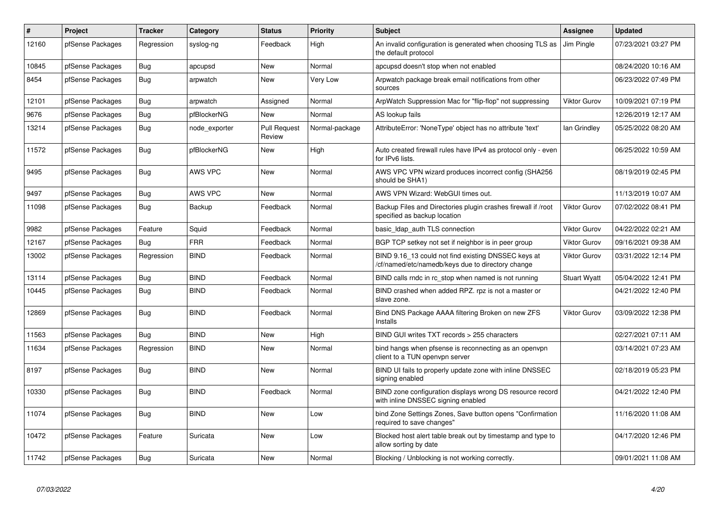| #     | <b>Project</b>   | <b>Tracker</b> | Category       | <b>Status</b>          | Priority       | <b>Subject</b>                                                                                           | Assignee            | <b>Updated</b>      |
|-------|------------------|----------------|----------------|------------------------|----------------|----------------------------------------------------------------------------------------------------------|---------------------|---------------------|
| 12160 | pfSense Packages | Regression     | syslog-ng      | Feedback               | High           | An invalid configuration is generated when choosing TLS as<br>the default protocol                       | Jim Pingle          | 07/23/2021 03:27 PM |
| 10845 | pfSense Packages | Bug            | apcupsd        | New                    | Normal         | apcupsd doesn't stop when not enabled                                                                    |                     | 08/24/2020 10:16 AM |
| 8454  | pfSense Packages | <b>Bug</b>     | arpwatch       | <b>New</b>             | Very Low       | Arpwatch package break email notifications from other<br>sources                                         |                     | 06/23/2022 07:49 PM |
| 12101 | pfSense Packages | Bug            | arpwatch       | Assigned               | Normal         | ArpWatch Suppression Mac for "flip-flop" not suppressing                                                 | Viktor Gurov        | 10/09/2021 07:19 PM |
| 9676  | pfSense Packages | Bug            | pfBlockerNG    | <b>New</b>             | Normal         | AS lookup fails                                                                                          |                     | 12/26/2019 12:17 AM |
| 13214 | pfSense Packages | Bug            | node exporter  | Pull Request<br>Review | Normal-package | AttributeError: 'NoneType' object has no attribute 'text'                                                | lan Grindley        | 05/25/2022 08:20 AM |
| 11572 | pfSense Packages | Bug            | pfBlockerNG    | New                    | High           | Auto created firewall rules have IPv4 as protocol only - even<br>for IPv6 lists.                         |                     | 06/25/2022 10:59 AM |
| 9495  | pfSense Packages | <b>Bug</b>     | <b>AWS VPC</b> | <b>New</b>             | Normal         | AWS VPC VPN wizard produces incorrect config (SHA256<br>should be SHA1)                                  |                     | 08/19/2019 02:45 PM |
| 9497  | pfSense Packages | Bug            | <b>AWS VPC</b> | <b>New</b>             | Normal         | AWS VPN Wizard: WebGUI times out.                                                                        |                     | 11/13/2019 10:07 AM |
| 11098 | pfSense Packages | Bug            | <b>Backup</b>  | Feedback               | Normal         | Backup Files and Directories plugin crashes firewall if /root<br>specified as backup location            | Viktor Gurov        | 07/02/2022 08:41 PM |
| 9982  | pfSense Packages | Feature        | Squid          | Feedback               | Normal         | basic Idap auth TLS connection                                                                           | Viktor Gurov        | 04/22/2022 02:21 AM |
| 12167 | pfSense Packages | Bug            | <b>FRR</b>     | Feedback               | Normal         | BGP TCP setkey not set if neighbor is in peer group                                                      | Viktor Gurov        | 09/16/2021 09:38 AM |
| 13002 | pfSense Packages | Regression     | <b>BIND</b>    | Feedback               | Normal         | BIND 9.16 13 could not find existing DNSSEC keys at<br>/cf/named/etc/namedb/keys due to directory change | Viktor Gurov        | 03/31/2022 12:14 PM |
| 13114 | pfSense Packages | Bug            | <b>BIND</b>    | Feedback               | Normal         | BIND calls rndc in rc_stop when named is not running                                                     | <b>Stuart Wyatt</b> | 05/04/2022 12:41 PM |
| 10445 | pfSense Packages | Bug            | <b>BIND</b>    | Feedback               | Normal         | BIND crashed when added RPZ. rpz is not a master or<br>slave zone.                                       |                     | 04/21/2022 12:40 PM |
| 12869 | pfSense Packages | Bug            | <b>BIND</b>    | Feedback               | Normal         | Bind DNS Package AAAA filtering Broken on new ZFS<br>Installs                                            | Viktor Gurov        | 03/09/2022 12:38 PM |
| 11563 | pfSense Packages | <b>Bug</b>     | <b>BIND</b>    | <b>New</b>             | High           | BIND GUI writes TXT records > 255 characters                                                             |                     | 02/27/2021 07:11 AM |
| 11634 | pfSense Packages | Regression     | <b>BIND</b>    | <b>New</b>             | Normal         | bind hangs when pfsense is reconnecting as an openvpn<br>client to a TUN openvpn server                  |                     | 03/14/2021 07:23 AM |
| 8197  | pfSense Packages | <b>Bug</b>     | <b>BIND</b>    | New                    | Normal         | BIND UI fails to properly update zone with inline DNSSEC<br>signing enabled                              |                     | 02/18/2019 05:23 PM |
| 10330 | pfSense Packages | <b>Bug</b>     | <b>BIND</b>    | Feedback               | Normal         | BIND zone configuration displays wrong DS resource record<br>with inline DNSSEC signing enabled          |                     | 04/21/2022 12:40 PM |
| 11074 | pfSense Packages | <b>Bug</b>     | <b>BIND</b>    | <b>New</b>             | Low            | bind Zone Settings Zones, Save button opens "Confirmation"<br>required to save changes"                  |                     | 11/16/2020 11:08 AM |
| 10472 | pfSense Packages | Feature        | Suricata       | <b>New</b>             | Low            | Blocked host alert table break out by timestamp and type to<br>allow sorting by date                     |                     | 04/17/2020 12:46 PM |
| 11742 | pfSense Packages | Bug            | Suricata       | <b>New</b>             | Normal         | Blocking / Unblocking is not working correctly.                                                          |                     | 09/01/2021 11:08 AM |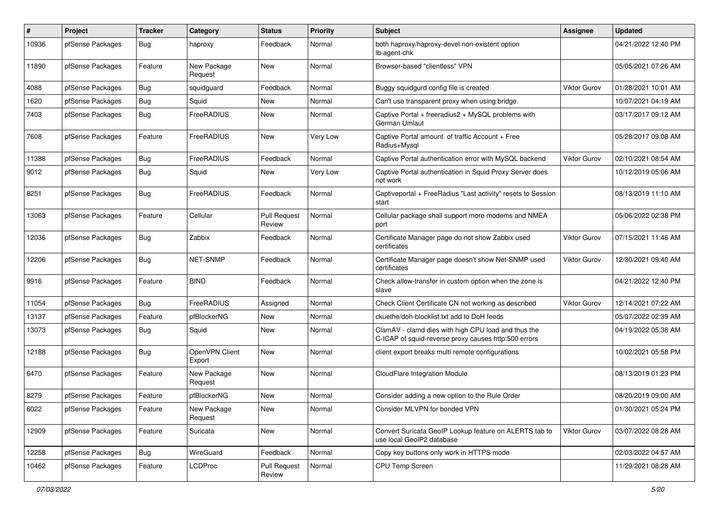| $\pmb{\#}$ | Project          | <b>Tracker</b> | Category                 | <b>Status</b>                 | <b>Priority</b> | <b>Subject</b>                                                                                              | <b>Assignee</b>     | <b>Updated</b>      |
|------------|------------------|----------------|--------------------------|-------------------------------|-----------------|-------------------------------------------------------------------------------------------------------------|---------------------|---------------------|
| 10936      | pfSense Packages | <b>Bug</b>     | haproxy                  | Feedback                      | Normal          | both haproxy/haproxy-devel non-existent option<br>lb-agent-chk                                              |                     | 04/21/2022 12:40 PM |
| 11890      | pfSense Packages | Feature        | New Package<br>Request   | <b>New</b>                    | Normal          | Browser-based "clientless" VPN                                                                              |                     | 05/05/2021 07:26 AM |
| 4088       | pfSense Packages | Bug            | squidguard               | Feedback                      | Normal          | Buggy squidgurd config file is created                                                                      | <b>Viktor Gurov</b> | 01/28/2021 10:01 AM |
| 1620       | pfSense Packages | Bug            | Squid                    | New                           | Normal          | Can't use transparent proxy when using bridge.                                                              |                     | 10/07/2021 04:19 AM |
| 7403       | pfSense Packages | <b>Bug</b>     | FreeRADIUS               | <b>New</b>                    | Normal          | Captive Portal + freeradius2 + MySQL problems with<br>German Umlaut                                         |                     | 03/17/2017 09:12 AM |
| 7608       | pfSense Packages | Feature        | FreeRADIUS               | <b>New</b>                    | Very Low        | Captive Portal amount of traffic Account + Free<br>Radius+Mysql                                             |                     | 05/28/2017 09:08 AM |
| 11388      | pfSense Packages | Bug            | FreeRADIUS               | Feedback                      | Normal          | Captive Portal authentication error with MySQL backend                                                      | <b>Viktor Gurov</b> | 02/10/2021 08:54 AM |
| 9012       | pfSense Packages | <b>Bug</b>     | Squid                    | <b>New</b>                    | Very Low        | Captive Portal authentication in Squid Proxy Server does<br>not work                                        |                     | 10/12/2019 05:06 AM |
| 8251       | pfSense Packages | Bug            | FreeRADIUS               | Feedback                      | Normal          | Captiveportal + FreeRadius "Last activity" resets to Session<br>start                                       |                     | 08/13/2019 11:10 AM |
| 13063      | pfSense Packages | Feature        | Cellular                 | <b>Pull Request</b><br>Review | Normal          | Cellular package shall support more modems and NMEA<br>port                                                 |                     | 05/06/2022 02:38 PM |
| 12036      | pfSense Packages | Bug            | Zabbix                   | Feedback                      | Normal          | Certificate Manager page do not show Zabbix used<br>certificates                                            | <b>Viktor Gurov</b> | 07/15/2021 11:46 AM |
| 12206      | pfSense Packages | Bug            | NET-SNMP                 | Feedback                      | Normal          | Certificate Manager page doesn't show Net-SNMP used<br>certificates                                         | Viktor Gurov        | 12/30/2021 09:40 AM |
| 9916       | pfSense Packages | Feature        | <b>BIND</b>              | Feedback                      | Normal          | Check allow-transfer in custom option when the zone is<br>slave                                             |                     | 04/21/2022 12:40 PM |
| 11054      | pfSense Packages | Bug            | FreeRADIUS               | Assigned                      | Normal          | Check Client Certificate CN not working as described                                                        | Viktor Gurov        | 12/14/2021 07:22 AM |
| 13137      | pfSense Packages | Feature        | pfBlockerNG              | New                           | Normal          | ckuethe/doh-blocklist.txt add to DoH feeds                                                                  |                     | 05/07/2022 02:39 AM |
| 13073      | pfSense Packages | Bug            | Squid                    | <b>New</b>                    | Normal          | ClamAV - clamd dies with high CPU load and thus the<br>C-ICAP of squid-reverse proxy causes http:500 errors |                     | 04/19/2022 05:38 AM |
| 12188      | pfSense Packages | Bug            | OpenVPN Client<br>Export | <b>New</b>                    | Normal          | client export breaks multi remote configurations                                                            |                     | 10/02/2021 05:58 PM |
| 6470       | pfSense Packages | Feature        | New Package<br>Request   | New                           | Normal          | CloudFlare Integration Module                                                                               |                     | 08/13/2019 01:23 PM |
| 8279       | pfSense Packages | Feature        | pfBlockerNG              | <b>New</b>                    | Normal          | Consider adding a new option to the Rule Order                                                              |                     | 08/20/2019 09:00 AM |
| 6022       | pfSense Packages | Feature        | New Package<br>Request   | New                           | Normal          | Consider MLVPN for bonded VPN                                                                               |                     | 01/30/2021 05:24 PM |
| 12909      | pfSense Packages | Feature        | Suricata                 | New                           | Normal          | Convert Suricata GeoIP Lookup feature on ALERTS tab to<br>use local GeoIP2 database                         | <b>Viktor Gurov</b> | 03/07/2022 08:28 AM |
| 12258      | pfSense Packages | Bug            | WireGuard                | Feedback                      | Normal          | Copy key buttons only work in HTTPS mode                                                                    |                     | 02/03/2022 04:57 AM |
| 10462      | pfSense Packages | Feature        | LCDProc                  | <b>Pull Request</b><br>Review | Normal          | CPU Temp Screen                                                                                             |                     | 11/29/2021 08:28 AM |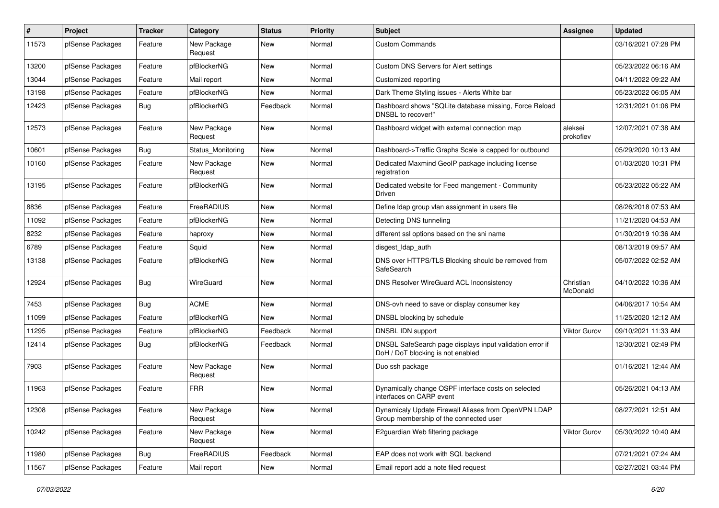| $\pmb{\#}$ | Project          | <b>Tracker</b> | Category               | <b>Status</b> | <b>Priority</b> | Subject                                                                                        | <b>Assignee</b>       | <b>Updated</b>      |
|------------|------------------|----------------|------------------------|---------------|-----------------|------------------------------------------------------------------------------------------------|-----------------------|---------------------|
| 11573      | pfSense Packages | Feature        | New Package<br>Request | <b>New</b>    | Normal          | <b>Custom Commands</b>                                                                         |                       | 03/16/2021 07:28 PM |
| 13200      | pfSense Packages | Feature        | pfBlockerNG            | <b>New</b>    | Normal          | Custom DNS Servers for Alert settings                                                          |                       | 05/23/2022 06:16 AM |
| 13044      | pfSense Packages | Feature        | Mail report            | <b>New</b>    | Normal          | Customized reporting                                                                           |                       | 04/11/2022 09:22 AM |
| 13198      | pfSense Packages | Feature        | pfBlockerNG            | <b>New</b>    | Normal          | Dark Theme Styling issues - Alerts White bar                                                   |                       | 05/23/2022 06:05 AM |
| 12423      | pfSense Packages | Bug            | pfBlockerNG            | Feedback      | Normal          | Dashboard shows "SQLite database missing, Force Reload<br>DNSBL to recover!"                   |                       | 12/31/2021 01:06 PM |
| 12573      | pfSense Packages | Feature        | New Package<br>Request | <b>New</b>    | Normal          | Dashboard widget with external connection map                                                  | aleksei<br>prokofiev  | 12/07/2021 07:38 AM |
| 10601      | pfSense Packages | <b>Bug</b>     | Status Monitoring      | <b>New</b>    | Normal          | Dashboard->Traffic Graphs Scale is capped for outbound                                         |                       | 05/29/2020 10:13 AM |
| 10160      | pfSense Packages | Feature        | New Package<br>Request | <b>New</b>    | Normal          | Dedicated Maxmind GeoIP package including license<br>registration                              |                       | 01/03/2020 10:31 PM |
| 13195      | pfSense Packages | Feature        | pfBlockerNG            | New           | Normal          | Dedicated website for Feed mangement - Community<br>Driven                                     |                       | 05/23/2022 05:22 AM |
| 8836       | pfSense Packages | Feature        | FreeRADIUS             | <b>New</b>    | Normal          | Define Idap group vlan assignment in users file                                                |                       | 08/26/2018 07:53 AM |
| 11092      | pfSense Packages | Feature        | pfBlockerNG            | <b>New</b>    | Normal          | Detecting DNS tunneling                                                                        |                       | 11/21/2020 04:53 AM |
| 8232       | pfSense Packages | Feature        | haproxy                | <b>New</b>    | Normal          | different ssl options based on the sni name                                                    |                       | 01/30/2019 10:36 AM |
| 6789       | pfSense Packages | Feature        | Squid                  | <b>New</b>    | Normal          | disgest_ldap_auth                                                                              |                       | 08/13/2019 09:57 AM |
| 13138      | pfSense Packages | Feature        | pfBlockerNG            | <b>New</b>    | Normal          | DNS over HTTPS/TLS Blocking should be removed from<br>SafeSearch                               |                       | 05/07/2022 02:52 AM |
| 12924      | pfSense Packages | <b>Bug</b>     | WireGuard              | New           | Normal          | DNS Resolver WireGuard ACL Inconsistency                                                       | Christian<br>McDonald | 04/10/2022 10:36 AM |
| 7453       | pfSense Packages | Bug            | <b>ACME</b>            | <b>New</b>    | Normal          | DNS-ovh need to save or display consumer key                                                   |                       | 04/06/2017 10:54 AM |
| 11099      | pfSense Packages | Feature        | pfBlockerNG            | <b>New</b>    | Normal          | DNSBL blocking by schedule                                                                     |                       | 11/25/2020 12:12 AM |
| 11295      | pfSense Packages | Feature        | pfBlockerNG            | Feedback      | Normal          | DNSBL IDN support                                                                              | <b>Viktor Gurov</b>   | 09/10/2021 11:33 AM |
| 12414      | pfSense Packages | <b>Bug</b>     | pfBlockerNG            | Feedback      | Normal          | DNSBL SafeSearch page displays input validation error if<br>DoH / DoT blocking is not enabled  |                       | 12/30/2021 02:49 PM |
| 7903       | pfSense Packages | Feature        | New Package<br>Request | New           | Normal          | Duo ssh package                                                                                |                       | 01/16/2021 12:44 AM |
| 11963      | pfSense Packages | Feature        | <b>FRR</b>             | <b>New</b>    | Normal          | Dynamically change OSPF interface costs on selected<br>interfaces on CARP event                |                       | 05/26/2021 04:13 AM |
| 12308      | pfSense Packages | Feature        | New Package<br>Request | New           | Normal          | Dynamicaly Update Firewall Aliases from OpenVPN LDAP<br>Group membership of the connected user |                       | 08/27/2021 12:51 AM |
| 10242      | pfSense Packages | Feature        | New Package<br>Request | New           | Normal          | E2guardian Web filtering package                                                               | <b>Viktor Gurov</b>   | 05/30/2022 10:40 AM |
| 11980      | pfSense Packages | Bug            | FreeRADIUS             | Feedback      | Normal          | EAP does not work with SQL backend                                                             |                       | 07/21/2021 07:24 AM |
| 11567      | pfSense Packages | Feature        | Mail report            | New           | Normal          | Email report add a note filed request                                                          |                       | 02/27/2021 03:44 PM |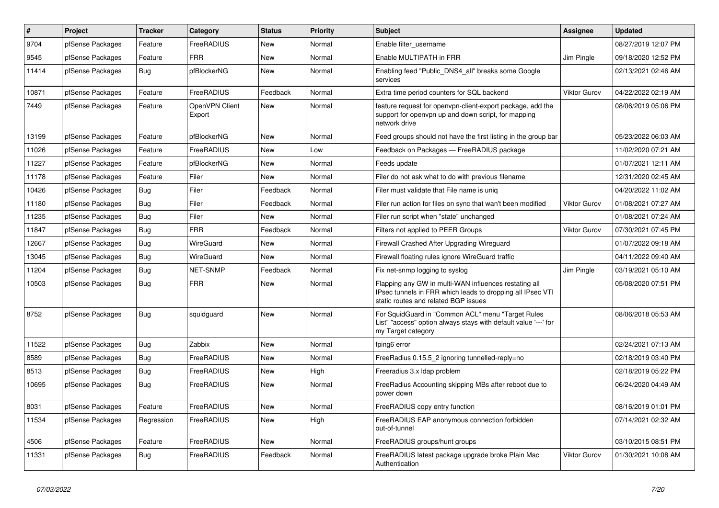| $\pmb{\#}$ | Project          | <b>Tracker</b> | Category                 | <b>Status</b> | <b>Priority</b> | <b>Subject</b>                                                                                                                                              | Assignee            | <b>Updated</b>      |
|------------|------------------|----------------|--------------------------|---------------|-----------------|-------------------------------------------------------------------------------------------------------------------------------------------------------------|---------------------|---------------------|
| 9704       | pfSense Packages | Feature        | FreeRADIUS               | <b>New</b>    | Normal          | Enable filter username                                                                                                                                      |                     | 08/27/2019 12:07 PM |
| 9545       | pfSense Packages | Feature        | <b>FRR</b>               | <b>New</b>    | Normal          | Enable MULTIPATH in FRR                                                                                                                                     | Jim Pingle          | 09/18/2020 12:52 PM |
| 11414      | pfSense Packages | Bug            | pfBlockerNG              | <b>New</b>    | Normal          | Enabling feed "Public_DNS4_all" breaks some Google<br>services                                                                                              |                     | 02/13/2021 02:46 AM |
| 10871      | pfSense Packages | Feature        | FreeRADIUS               | Feedback      | Normal          | Extra time period counters for SQL backend                                                                                                                  | <b>Viktor Gurov</b> | 04/22/2022 02:19 AM |
| 7449       | pfSense Packages | Feature        | OpenVPN Client<br>Export | <b>New</b>    | Normal          | feature request for openypn-client-export package, add the<br>support for openvpn up and down script, for mapping<br>network drive                          |                     | 08/06/2019 05:06 PM |
| 13199      | pfSense Packages | Feature        | pfBlockerNG              | New           | Normal          | Feed groups should not have the first listing in the group bar                                                                                              |                     | 05/23/2022 06:03 AM |
| 11026      | pfSense Packages | Feature        | FreeRADIUS               | <b>New</b>    | Low             | Feedback on Packages - FreeRADIUS package                                                                                                                   |                     | 11/02/2020 07:21 AM |
| 11227      | pfSense Packages | Feature        | pfBlockerNG              | <b>New</b>    | Normal          | Feeds update                                                                                                                                                |                     | 01/07/2021 12:11 AM |
| 11178      | pfSense Packages | Feature        | Filer                    | <b>New</b>    | Normal          | Filer do not ask what to do with previous filename                                                                                                          |                     | 12/31/2020 02:45 AM |
| 10426      | pfSense Packages | Bug            | Filer                    | Feedback      | Normal          | Filer must validate that File name is unig                                                                                                                  |                     | 04/20/2022 11:02 AM |
| 11180      | pfSense Packages | Bug            | Filer                    | Feedback      | Normal          | Filer run action for files on sync that wan't been modified                                                                                                 | <b>Viktor Gurov</b> | 01/08/2021 07:27 AM |
| 11235      | pfSense Packages | Bug            | Filer                    | <b>New</b>    | Normal          | Filer run script when "state" unchanged                                                                                                                     |                     | 01/08/2021 07:24 AM |
| 11847      | pfSense Packages | Bug            | <b>FRR</b>               | Feedback      | Normal          | Filters not applied to PEER Groups                                                                                                                          | <b>Viktor Gurov</b> | 07/30/2021 07:45 PM |
| 12667      | pfSense Packages | Bug            | WireGuard                | New           | Normal          | Firewall Crashed After Upgrading Wireguard                                                                                                                  |                     | 01/07/2022 09:18 AM |
| 13045      | pfSense Packages | Bug            | WireGuard                | New           | Normal          | Firewall floating rules ignore WireGuard traffic                                                                                                            |                     | 04/11/2022 09:40 AM |
| 11204      | pfSense Packages | Bug            | NET-SNMP                 | Feedback      | Normal          | Fix net-snmp logging to syslog                                                                                                                              | Jim Pingle          | 03/19/2021 05:10 AM |
| 10503      | pfSense Packages | Bug            | <b>FRR</b>               | New           | Normal          | Flapping any GW in multi-WAN influences restating all<br>IPsec tunnels in FRR which leads to dropping all IPsec VTI<br>static routes and related BGP issues |                     | 05/08/2020 07:51 PM |
| 8752       | pfSense Packages | Bug            | squidguard               | <b>New</b>    | Normal          | For SquidGuard in "Common ACL" menu "Target Rules<br>List" "access" option always stays with default value '---' for<br>my Target category                  |                     | 08/06/2018 05:53 AM |
| 11522      | pfSense Packages | Bug            | Zabbix                   | <b>New</b>    | Normal          | fping6 error                                                                                                                                                |                     | 02/24/2021 07:13 AM |
| 8589       | pfSense Packages | Bug            | FreeRADIUS               | <b>New</b>    | Normal          | FreeRadius 0.15.5 2 ignoring tunnelled-reply=no                                                                                                             |                     | 02/18/2019 03:40 PM |
| 8513       | pfSense Packages | Bug            | FreeRADIUS               | <b>New</b>    | High            | Freeradius 3.x Idap problem                                                                                                                                 |                     | 02/18/2019 05:22 PM |
| 10695      | pfSense Packages | <b>Bug</b>     | FreeRADIUS               | <b>New</b>    | Normal          | FreeRadius Accounting skipping MBs after reboot due to<br>power down                                                                                        |                     | 06/24/2020 04:49 AM |
| 8031       | pfSense Packages | Feature        | FreeRADIUS               | <b>New</b>    | Normal          | FreeRADIUS copy entry function                                                                                                                              |                     | 08/16/2019 01:01 PM |
| 11534      | pfSense Packages | Regression     | FreeRADIUS               | <b>New</b>    | High            | FreeRADIUS EAP anonymous connection forbidden<br>out-of-tunnel                                                                                              |                     | 07/14/2021 02:32 AM |
| 4506       | pfSense Packages | Feature        | FreeRADIUS               | <b>New</b>    | Normal          | FreeRADIUS groups/hunt groups                                                                                                                               |                     | 03/10/2015 08:51 PM |
| 11331      | pfSense Packages | Bug            | FreeRADIUS               | Feedback      | Normal          | FreeRADIUS latest package upgrade broke Plain Mac<br>Authentication                                                                                         | <b>Viktor Gurov</b> | 01/30/2021 10:08 AM |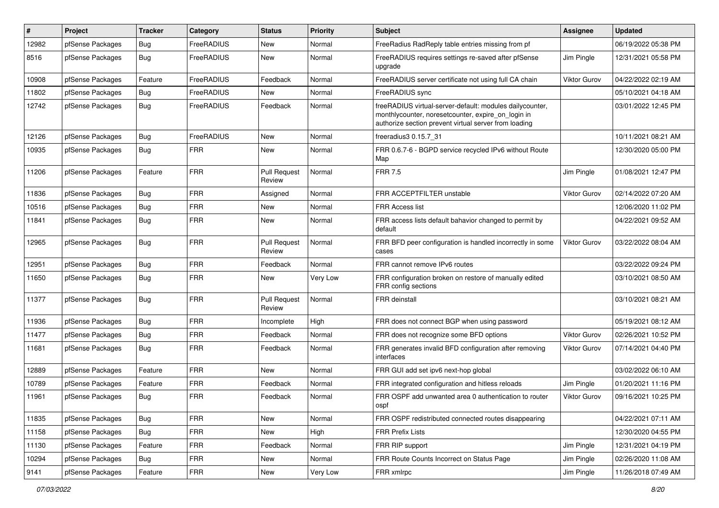| #     | Project          | <b>Tracker</b> | Category   | <b>Status</b>                 | <b>Priority</b> | Subject                                                                                                                                                                 | <b>Assignee</b>     | <b>Updated</b>      |
|-------|------------------|----------------|------------|-------------------------------|-----------------|-------------------------------------------------------------------------------------------------------------------------------------------------------------------------|---------------------|---------------------|
| 12982 | pfSense Packages | Bug            | FreeRADIUS | New                           | Normal          | FreeRadius RadReply table entries missing from pf                                                                                                                       |                     | 06/19/2022 05:38 PM |
| 8516  | pfSense Packages | <b>Bug</b>     | FreeRADIUS | New                           | Normal          | FreeRADIUS requires settings re-saved after pfSense<br>upgrade                                                                                                          | Jim Pingle          | 12/31/2021 05:58 PM |
| 10908 | pfSense Packages | Feature        | FreeRADIUS | Feedback                      | Normal          | FreeRADIUS server certificate not using full CA chain                                                                                                                   | <b>Viktor Gurov</b> | 04/22/2022 02:19 AM |
| 11802 | pfSense Packages | Bug            | FreeRADIUS | New                           | Normal          | FreeRADIUS sync                                                                                                                                                         |                     | 05/10/2021 04:18 AM |
| 12742 | pfSense Packages | Bug            | FreeRADIUS | Feedback                      | Normal          | freeRADIUS virtual-server-default: modules dailycounter,<br>monthlycounter, noresetcounter, expire_on_login in<br>authorize section prevent virtual server from loading |                     | 03/01/2022 12:45 PM |
| 12126 | pfSense Packages | Bug            | FreeRADIUS | New                           | Normal          | freeradius3 0.15.7 31                                                                                                                                                   |                     | 10/11/2021 08:21 AM |
| 10935 | pfSense Packages | Bug            | <b>FRR</b> | New                           | Normal          | FRR 0.6.7-6 - BGPD service recycled IPv6 without Route<br>Map                                                                                                           |                     | 12/30/2020 05:00 PM |
| 11206 | pfSense Packages | Feature        | <b>FRR</b> | <b>Pull Request</b><br>Review | Normal          | <b>FRR 7.5</b>                                                                                                                                                          | Jim Pingle          | 01/08/2021 12:47 PM |
| 11836 | pfSense Packages | Bug            | <b>FRR</b> | Assigned                      | Normal          | FRR ACCEPTFILTER unstable                                                                                                                                               | <b>Viktor Gurov</b> | 02/14/2022 07:20 AM |
| 10516 | pfSense Packages | <b>Bug</b>     | <b>FRR</b> | New                           | Normal          | <b>FRR Access list</b>                                                                                                                                                  |                     | 12/06/2020 11:02 PM |
| 11841 | pfSense Packages | Bug            | <b>FRR</b> | <b>New</b>                    | Normal          | FRR access lists default bahavior changed to permit by<br>default                                                                                                       |                     | 04/22/2021 09:52 AM |
| 12965 | pfSense Packages | Bug            | <b>FRR</b> | <b>Pull Request</b><br>Review | Normal          | FRR BFD peer configuration is handled incorrectly in some<br>cases                                                                                                      | <b>Viktor Gurov</b> | 03/22/2022 08:04 AM |
| 12951 | pfSense Packages | Bug            | <b>FRR</b> | Feedback                      | Normal          | FRR cannot remove IPv6 routes                                                                                                                                           |                     | 03/22/2022 09:24 PM |
| 11650 | pfSense Packages | <b>Bug</b>     | <b>FRR</b> | New                           | Very Low        | FRR configuration broken on restore of manually edited<br>FRR config sections                                                                                           |                     | 03/10/2021 08:50 AM |
| 11377 | pfSense Packages | <b>Bug</b>     | <b>FRR</b> | <b>Pull Request</b><br>Review | Normal          | <b>FRR</b> deinstall                                                                                                                                                    |                     | 03/10/2021 08:21 AM |
| 11936 | pfSense Packages | Bug            | <b>FRR</b> | Incomplete                    | High            | FRR does not connect BGP when using password                                                                                                                            |                     | 05/19/2021 08:12 AM |
| 11477 | pfSense Packages | Bug            | <b>FRR</b> | Feedback                      | Normal          | FRR does not recognize some BFD options                                                                                                                                 | Viktor Gurov        | 02/26/2021 10:52 PM |
| 11681 | pfSense Packages | Bug            | <b>FRR</b> | Feedback                      | Normal          | FRR generates invalid BFD configuration after removing<br>interfaces                                                                                                    | <b>Viktor Gurov</b> | 07/14/2021 04:40 PM |
| 12889 | pfSense Packages | Feature        | <b>FRR</b> | New                           | Normal          | FRR GUI add set ipv6 next-hop global                                                                                                                                    |                     | 03/02/2022 06:10 AM |
| 10789 | pfSense Packages | Feature        | <b>FRR</b> | Feedback                      | Normal          | FRR integrated configuration and hitless reloads                                                                                                                        | Jim Pingle          | 01/20/2021 11:16 PM |
| 11961 | pfSense Packages | Bug            | <b>FRR</b> | Feedback                      | Normal          | FRR OSPF add unwanted area 0 authentication to router<br>ospf                                                                                                           | <b>Viktor Gurov</b> | 09/16/2021 10:25 PM |
| 11835 | pfSense Packages | Bug            | <b>FRR</b> | New                           | Normal          | FRR OSPF redistributed connected routes disappearing                                                                                                                    |                     | 04/22/2021 07:11 AM |
| 11158 | pfSense Packages | Bug            | <b>FRR</b> | New                           | High            | <b>FRR Prefix Lists</b>                                                                                                                                                 |                     | 12/30/2020 04:55 PM |
| 11130 | pfSense Packages | Feature        | <b>FRR</b> | Feedback                      | Normal          | FRR RIP support                                                                                                                                                         | Jim Pingle          | 12/31/2021 04:19 PM |
| 10294 | pfSense Packages | Bug            | <b>FRR</b> | New                           | Normal          | FRR Route Counts Incorrect on Status Page                                                                                                                               | Jim Pingle          | 02/26/2020 11:08 AM |
| 9141  | pfSense Packages | Feature        | <b>FRR</b> | New                           | Very Low        | FRR xmlrpc                                                                                                                                                              | Jim Pingle          | 11/26/2018 07:49 AM |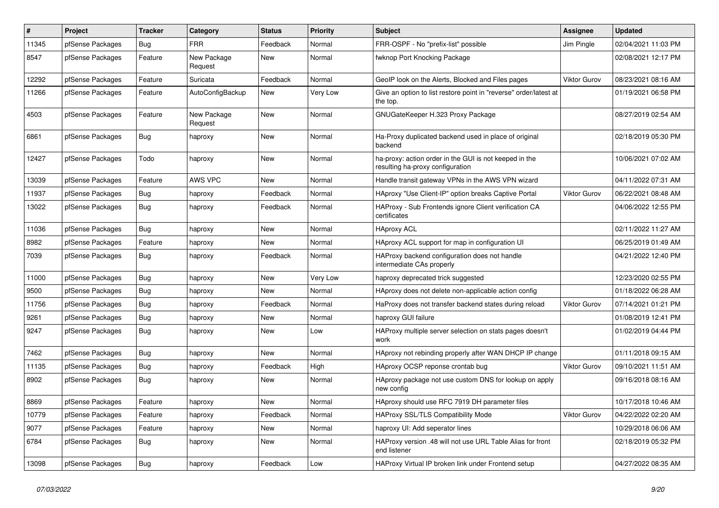| $\sharp$ | Project          | <b>Tracker</b> | Category               | <b>Status</b> | Priority | <b>Subject</b>                                                                             | <b>Assignee</b> | <b>Updated</b>      |
|----------|------------------|----------------|------------------------|---------------|----------|--------------------------------------------------------------------------------------------|-----------------|---------------------|
| 11345    | pfSense Packages | <b>Bug</b>     | FRR                    | Feedback      | Normal   | FRR-OSPF - No "prefix-list" possible                                                       | Jim Pingle      | 02/04/2021 11:03 PM |
| 8547     | pfSense Packages | Feature        | New Package<br>Request | <b>New</b>    | Normal   | fwknop Port Knocking Package                                                               |                 | 02/08/2021 12:17 PM |
| 12292    | pfSense Packages | Feature        | Suricata               | Feedback      | Normal   | GeoIP look on the Alerts, Blocked and Files pages                                          | Viktor Gurov    | 08/23/2021 08:16 AM |
| 11266    | pfSense Packages | Feature        | AutoConfigBackup       | New           | Very Low | Give an option to list restore point in "reverse" order/latest at<br>the top.              |                 | 01/19/2021 06:58 PM |
| 4503     | pfSense Packages | Feature        | New Package<br>Request | New           | Normal   | GNUGateKeeper H.323 Proxy Package                                                          |                 | 08/27/2019 02:54 AM |
| 6861     | pfSense Packages | Bug            | haproxy                | New           | Normal   | Ha-Proxy duplicated backend used in place of original<br>backend                           |                 | 02/18/2019 05:30 PM |
| 12427    | pfSense Packages | Todo           | haproxy                | <b>New</b>    | Normal   | ha-proxy: action order in the GUI is not keeped in the<br>resulting ha-proxy configuration |                 | 10/06/2021 07:02 AM |
| 13039    | pfSense Packages | Feature        | <b>AWS VPC</b>         | <b>New</b>    | Normal   | Handle transit gateway VPNs in the AWS VPN wizard                                          |                 | 04/11/2022 07:31 AM |
| 11937    | pfSense Packages | Bug            | haproxy                | Feedback      | Normal   | HAproxy "Use Client-IP" option breaks Captive Portal                                       | Viktor Gurov    | 06/22/2021 08:48 AM |
| 13022    | pfSense Packages | Bug            | haproxy                | Feedback      | Normal   | HAProxy - Sub Frontends ignore Client verification CA<br>certificates                      |                 | 04/06/2022 12:55 PM |
| 11036    | pfSense Packages | Bug            | haproxy                | New           | Normal   | <b>HAproxy ACL</b>                                                                         |                 | 02/11/2022 11:27 AM |
| 8982     | pfSense Packages | Feature        | haproxy                | New           | Normal   | HAproxy ACL support for map in configuration UI                                            |                 | 06/25/2019 01:49 AM |
| 7039     | pfSense Packages | <b>Bug</b>     | haproxy                | Feedback      | Normal   | HAProxy backend configuration does not handle<br>intermediate CAs properly                 |                 | 04/21/2022 12:40 PM |
| 11000    | pfSense Packages | <b>Bug</b>     | haproxy                | <b>New</b>    | Very Low | haproxy deprecated trick suggested                                                         |                 | 12/23/2020 02:55 PM |
| 9500     | pfSense Packages | Bug            | haproxy                | New           | Normal   | HAproxy does not delete non-applicable action config                                       |                 | 01/18/2022 06:28 AM |
| 11756    | pfSense Packages | Bug            | haproxy                | Feedback      | Normal   | HaProxy does not transfer backend states during reload                                     | Viktor Gurov    | 07/14/2021 01:21 PM |
| 9261     | pfSense Packages | Bug            | haproxy                | <b>New</b>    | Normal   | haproxy GUI failure                                                                        |                 | 01/08/2019 12:41 PM |
| 9247     | pfSense Packages | Bug            | haproxy                | New           | Low      | HAProxy multiple server selection on stats pages doesn't<br>work                           |                 | 01/02/2019 04:44 PM |
| 7462     | pfSense Packages | <b>Bug</b>     | haproxy                | <b>New</b>    | Normal   | HAproxy not rebinding properly after WAN DHCP IP change                                    |                 | 01/11/2018 09:15 AM |
| 11135    | pfSense Packages | <b>Bug</b>     | haproxy                | Feedback      | High     | HAproxy OCSP reponse crontab bug                                                           | Viktor Gurov    | 09/10/2021 11:51 AM |
| 8902     | pfSense Packages | Bug            | haproxy                | <b>New</b>    | Normal   | HAproxy package not use custom DNS for lookup on apply<br>new config                       |                 | 09/16/2018 08:16 AM |
| 8869     | pfSense Packages | Feature        | haproxy                | <b>New</b>    | Normal   | HAproxy should use RFC 7919 DH parameter files                                             |                 | 10/17/2018 10:46 AM |
| 10779    | pfSense Packages | Feature        | haproxy                | Feedback      | Normal   | HAProxy SSL/TLS Compatibility Mode                                                         | Viktor Gurov    | 04/22/2022 02:20 AM |
| 9077     | pfSense Packages | Feature        | haproxy                | New           | Normal   | haproxy UI: Add seperator lines                                                            |                 | 10/29/2018 06:06 AM |
| 6784     | pfSense Packages | Bug            | haproxy                | New           | Normal   | HAProxy version .48 will not use URL Table Alias for front<br>end listener                 |                 | 02/18/2019 05:32 PM |
| 13098    | pfSense Packages | <b>Bug</b>     | haproxy                | Feedback      | Low      | HAProxy Virtual IP broken link under Frontend setup                                        |                 | 04/27/2022 08:35 AM |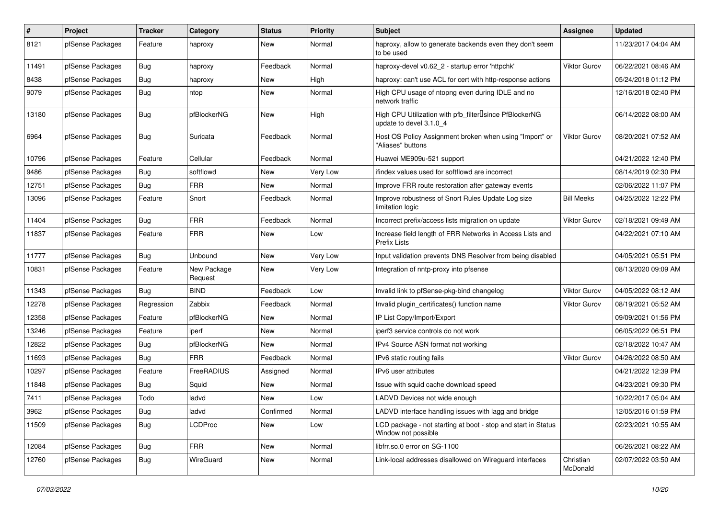| $\pmb{\#}$ | Project          | <b>Tracker</b> | Category               | <b>Status</b> | <b>Priority</b> | <b>Subject</b>                                                                                  | <b>Assignee</b>       | <b>Updated</b>      |
|------------|------------------|----------------|------------------------|---------------|-----------------|-------------------------------------------------------------------------------------------------|-----------------------|---------------------|
| 8121       | pfSense Packages | Feature        | haproxy                | New           | Normal          | haproxy, allow to generate backends even they don't seem<br>to be used                          |                       | 11/23/2017 04:04 AM |
| 11491      | pfSense Packages | Bug            | haproxy                | Feedback      | Normal          | haproxy-devel v0.62 2 - startup error 'httpchk'                                                 | <b>Viktor Gurov</b>   | 06/22/2021 08:46 AM |
| 8438       | pfSense Packages | Bug            | haproxy                | <b>New</b>    | High            | haproxy: can't use ACL for cert with http-response actions                                      |                       | 05/24/2018 01:12 PM |
| 9079       | pfSense Packages | Bug            | ntop                   | <b>New</b>    | Normal          | High CPU usage of ntopng even during IDLE and no<br>network traffic                             |                       | 12/16/2018 02:40 PM |
| 13180      | pfSense Packages | Bug            | pfBlockerNG            | New           | High            | High CPU Utilization with pfb_filter <sup>[]</sup> since PfBlockerNG<br>update to devel 3.1.0 4 |                       | 06/14/2022 08:00 AM |
| 6964       | pfSense Packages | Bug            | Suricata               | Feedback      | Normal          | Host OS Policy Assignment broken when using "Import" or<br>"Aliases" buttons                    | <b>Viktor Gurov</b>   | 08/20/2021 07:52 AM |
| 10796      | pfSense Packages | Feature        | Cellular               | Feedback      | Normal          | Huawei ME909u-521 support                                                                       |                       | 04/21/2022 12:40 PM |
| 9486       | pfSense Packages | Bug            | softflowd              | New           | Very Low        | ifindex values used for softflowd are incorrect                                                 |                       | 08/14/2019 02:30 PM |
| 12751      | pfSense Packages | Bug            | <b>FRR</b>             | New           | Normal          | Improve FRR route restoration after gateway events                                              |                       | 02/06/2022 11:07 PM |
| 13096      | pfSense Packages | Feature        | Snort                  | Feedback      | Normal          | Improve robustness of Snort Rules Update Log size<br>limitation logic                           | <b>Bill Meeks</b>     | 04/25/2022 12:22 PM |
| 11404      | pfSense Packages | <b>Bug</b>     | <b>FRR</b>             | Feedback      | Normal          | Incorrect prefix/access lists migration on update                                               | <b>Viktor Gurov</b>   | 02/18/2021 09:49 AM |
| 11837      | pfSense Packages | Feature        | <b>FRR</b>             | New           | Low             | Increase field length of FRR Networks in Access Lists and<br>Prefix Lists                       |                       | 04/22/2021 07:10 AM |
| 11777      | pfSense Packages | Bug            | Unbound                | <b>New</b>    | Very Low        | Input validation prevents DNS Resolver from being disabled                                      |                       | 04/05/2021 05:51 PM |
| 10831      | pfSense Packages | Feature        | New Package<br>Request | New           | Very Low        | Integration of nntp-proxy into pfsense                                                          |                       | 08/13/2020 09:09 AM |
| 11343      | pfSense Packages | Bug            | <b>BIND</b>            | Feedback      | Low             | Invalid link to pfSense-pkg-bind changelog                                                      | <b>Viktor Gurov</b>   | 04/05/2022 08:12 AM |
| 12278      | pfSense Packages | Regression     | Zabbix                 | Feedback      | Normal          | Invalid plugin_certificates() function name                                                     | Viktor Gurov          | 08/19/2021 05:52 AM |
| 12358      | pfSense Packages | Feature        | pfBlockerNG            | <b>New</b>    | Normal          | IP List Copy/Import/Export                                                                      |                       | 09/09/2021 01:56 PM |
| 13246      | pfSense Packages | Feature        | iperf                  | New           | Normal          | iperf3 service controls do not work                                                             |                       | 06/05/2022 06:51 PM |
| 12822      | pfSense Packages | <b>Bug</b>     | pfBlockerNG            | New           | Normal          | IPv4 Source ASN format not working                                                              |                       | 02/18/2022 10:47 AM |
| 11693      | pfSense Packages | Bug            | <b>FRR</b>             | Feedback      | Normal          | IPv6 static routing fails                                                                       | Viktor Gurov          | 04/26/2022 08:50 AM |
| 10297      | pfSense Packages | Feature        | FreeRADIUS             | Assigned      | Normal          | IPv6 user attributes                                                                            |                       | 04/21/2022 12:39 PM |
| 11848      | pfSense Packages | <b>Bug</b>     | Squid                  | <b>New</b>    | Normal          | Issue with squid cache download speed                                                           |                       | 04/23/2021 09:30 PM |
| 7411       | pfSense Packages | Todo           | ladvd                  | New           | Low             | LADVD Devices not wide enough                                                                   |                       | 10/22/2017 05:04 AM |
| 3962       | pfSense Packages | Bug            | ladvd                  | Confirmed     | Normal          | LADVD interface handling issues with lagg and bridge                                            |                       | 12/05/2016 01:59 PM |
| 11509      | pfSense Packages | Bug            | <b>LCDProc</b>         | New           | Low             | LCD package - not starting at boot - stop and start in Status<br>Window not possible            |                       | 02/23/2021 10:55 AM |
| 12084      | pfSense Packages | Bug            | <b>FRR</b>             | New           | Normal          | libfrr.so.0 error on SG-1100                                                                    |                       | 06/26/2021 08:22 AM |
| 12760      | pfSense Packages | <b>Bug</b>     | WireGuard              | New           | Normal          | Link-local addresses disallowed on Wireguard interfaces                                         | Christian<br>McDonald | 02/07/2022 03:50 AM |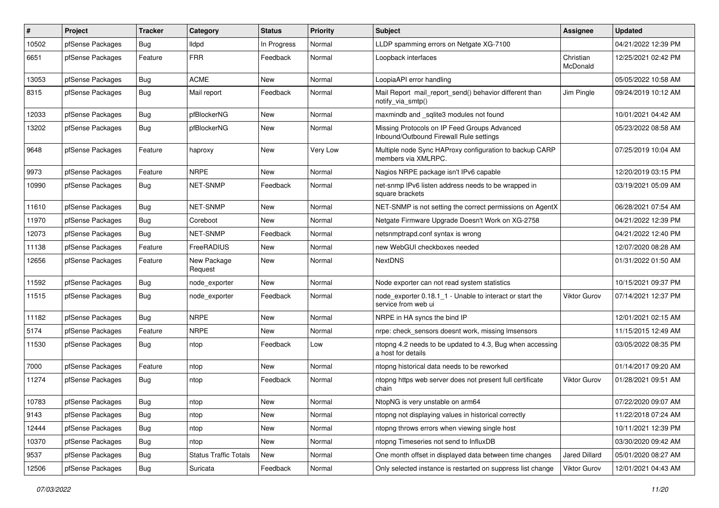| $\pmb{\#}$ | Project          | <b>Tracker</b> | Category                     | <b>Status</b> | Priority | Subject                                                                                 | <b>Assignee</b>       | <b>Updated</b>      |
|------------|------------------|----------------|------------------------------|---------------|----------|-----------------------------------------------------------------------------------------|-----------------------|---------------------|
| 10502      | pfSense Packages | Bug            | <b>Ildpd</b>                 | In Progress   | Normal   | LLDP spamming errors on Netgate XG-7100                                                 |                       | 04/21/2022 12:39 PM |
| 6651       | pfSense Packages | Feature        | <b>FRR</b>                   | Feedback      | Normal   | Loopback interfaces                                                                     | Christian<br>McDonald | 12/25/2021 02:42 PM |
| 13053      | pfSense Packages | Bug            | <b>ACME</b>                  | <b>New</b>    | Normal   | LoopiaAPI error handling                                                                |                       | 05/05/2022 10:58 AM |
| 8315       | pfSense Packages | <b>Bug</b>     | Mail report                  | Feedback      | Normal   | Mail Report mail_report_send() behavior different than<br>notify_via_smtp()             | Jim Pingle            | 09/24/2019 10:12 AM |
| 12033      | pfSense Packages | Bug            | pfBlockerNG                  | <b>New</b>    | Normal   | maxmindb and _sqlite3 modules not found                                                 |                       | 10/01/2021 04:42 AM |
| 13202      | pfSense Packages | Bug            | pfBlockerNG                  | New           | Normal   | Missing Protocols on IP Feed Groups Advanced<br>Inbound/Outbound Firewall Rule settings |                       | 05/23/2022 08:58 AM |
| 9648       | pfSense Packages | Feature        | haproxy                      | <b>New</b>    | Very Low | Multiple node Sync HAProxy configuration to backup CARP<br>members via XMLRPC.          |                       | 07/25/2019 10:04 AM |
| 9973       | pfSense Packages | Feature        | <b>NRPE</b>                  | <b>New</b>    | Normal   | Nagios NRPE package isn't IPv6 capable                                                  |                       | 12/20/2019 03:15 PM |
| 10990      | pfSense Packages | Bug            | NET-SNMP                     | Feedback      | Normal   | net-snmp IPv6 listen address needs to be wrapped in<br>square brackets                  |                       | 03/19/2021 05:09 AM |
| 11610      | pfSense Packages | Bug            | NET-SNMP                     | <b>New</b>    | Normal   | NET-SNMP is not setting the correct permissions on AgentX                               |                       | 06/28/2021 07:54 AM |
| 11970      | pfSense Packages | Bug            | Coreboot                     | New           | Normal   | Netgate Firmware Upgrade Doesn't Work on XG-2758                                        |                       | 04/21/2022 12:39 PM |
| 12073      | pfSense Packages | Bug            | NET-SNMP                     | Feedback      | Normal   | netsnmptrapd.conf syntax is wrong                                                       |                       | 04/21/2022 12:40 PM |
| 11138      | pfSense Packages | Feature        | FreeRADIUS                   | <b>New</b>    | Normal   | new WebGUI checkboxes needed                                                            |                       | 12/07/2020 08:28 AM |
| 12656      | pfSense Packages | Feature        | New Package<br>Request       | New           | Normal   | <b>NextDNS</b>                                                                          |                       | 01/31/2022 01:50 AM |
| 11592      | pfSense Packages | Bug            | node exporter                | <b>New</b>    | Normal   | Node exporter can not read system statistics                                            |                       | 10/15/2021 09:37 PM |
| 11515      | pfSense Packages | <b>Bug</b>     | node_exporter                | Feedback      | Normal   | node exporter 0.18.1 1 - Unable to interact or start the<br>service from web ui         | Viktor Gurov          | 07/14/2021 12:37 PM |
| 11182      | pfSense Packages | <b>Bug</b>     | <b>NRPE</b>                  | <b>New</b>    | Normal   | NRPE in HA syncs the bind IP                                                            |                       | 12/01/2021 02:15 AM |
| 5174       | pfSense Packages | Feature        | <b>NRPE</b>                  | New           | Normal   | nrpe: check sensors doesnt work, missing Imsensors                                      |                       | 11/15/2015 12:49 AM |
| 11530      | pfSense Packages | Bug            | ntop                         | Feedback      | Low      | ntopng 4.2 needs to be updated to 4.3, Bug when accessing<br>a host for details         |                       | 03/05/2022 08:35 PM |
| 7000       | pfSense Packages | Feature        | ntop                         | <b>New</b>    | Normal   | ntopng historical data needs to be reworked                                             |                       | 01/14/2017 09:20 AM |
| 11274      | pfSense Packages | Bug            | ntop                         | Feedback      | Normal   | ntopng https web server does not present full certificate<br>chain                      | Viktor Gurov          | 01/28/2021 09:51 AM |
| 10783      | pfSense Packages | Bug            | ntop                         | New           | Normal   | NtopNG is very unstable on arm64                                                        |                       | 07/22/2020 09:07 AM |
| 9143       | pfSense Packages | Bug            | ntop                         | New           | Normal   | ntopng not displaying values in historical correctly                                    |                       | 11/22/2018 07:24 AM |
| 12444      | pfSense Packages | Bug            | ntop                         | New           | Normal   | ntopng throws errors when viewing single host                                           |                       | 10/11/2021 12:39 PM |
| 10370      | pfSense Packages | <b>Bug</b>     | ntop                         | New           | Normal   | ntopng Timeseries not send to InfluxDB                                                  |                       | 03/30/2020 09:42 AM |
| 9537       | pfSense Packages | Bug            | <b>Status Traffic Totals</b> | New           | Normal   | One month offset in displayed data between time changes                                 | Jared Dillard         | 05/01/2020 08:27 AM |
| 12506      | pfSense Packages | <b>Bug</b>     | Suricata                     | Feedback      | Normal   | Only selected instance is restarted on suppress list change                             | <b>Viktor Gurov</b>   | 12/01/2021 04:43 AM |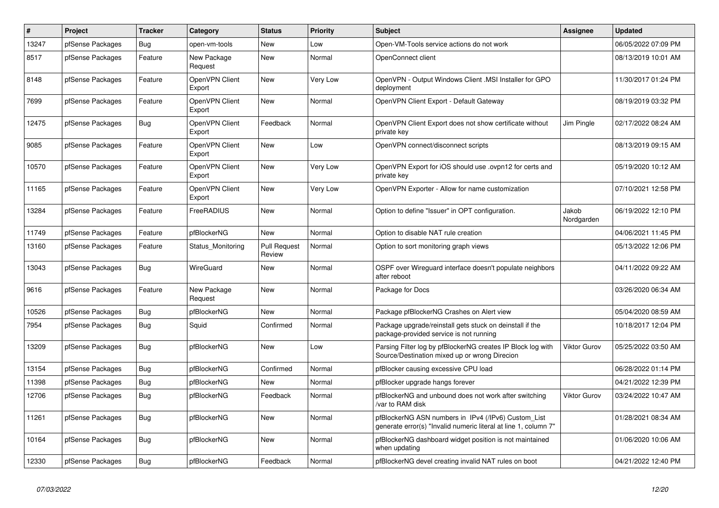| $\pmb{\#}$ | Project          | <b>Tracker</b> | Category                 | <b>Status</b>                 | Priority        | <b>Subject</b>                                                                                                         | <b>Assignee</b>     | <b>Updated</b>      |
|------------|------------------|----------------|--------------------------|-------------------------------|-----------------|------------------------------------------------------------------------------------------------------------------------|---------------------|---------------------|
| 13247      | pfSense Packages | Bug            | open-vm-tools            | <b>New</b>                    | Low             | Open-VM-Tools service actions do not work                                                                              |                     | 06/05/2022 07:09 PM |
| 8517       | pfSense Packages | Feature        | New Package<br>Request   | <b>New</b>                    | Normal          | OpenConnect client                                                                                                     |                     | 08/13/2019 10:01 AM |
| 8148       | pfSense Packages | Feature        | OpenVPN Client<br>Export | <b>New</b>                    | <b>Very Low</b> | OpenVPN - Output Windows Client .MSI Installer for GPO<br>deployment                                                   |                     | 11/30/2017 01:24 PM |
| 7699       | pfSense Packages | Feature        | OpenVPN Client<br>Export | <b>New</b>                    | Normal          | OpenVPN Client Export - Default Gateway                                                                                |                     | 08/19/2019 03:32 PM |
| 12475      | pfSense Packages | Bug            | OpenVPN Client<br>Export | Feedback                      | Normal          | OpenVPN Client Export does not show certificate without<br>private key                                                 | Jim Pingle          | 02/17/2022 08:24 AM |
| 9085       | pfSense Packages | Feature        | OpenVPN Client<br>Export | <b>New</b>                    | Low             | OpenVPN connect/disconnect scripts                                                                                     |                     | 08/13/2019 09:15 AM |
| 10570      | pfSense Packages | Feature        | OpenVPN Client<br>Export | New                           | Very Low        | OpenVPN Export for iOS should use .ovpn12 for certs and<br>private key                                                 |                     | 05/19/2020 10:12 AM |
| 11165      | pfSense Packages | Feature        | OpenVPN Client<br>Export | <b>New</b>                    | Very Low        | OpenVPN Exporter - Allow for name customization                                                                        |                     | 07/10/2021 12:58 PM |
| 13284      | pfSense Packages | Feature        | FreeRADIUS               | <b>New</b>                    | Normal          | Option to define "Issuer" in OPT configuration.                                                                        | Jakob<br>Nordgarden | 06/19/2022 12:10 PM |
| 11749      | pfSense Packages | Feature        | pfBlockerNG              | New                           | Normal          | Option to disable NAT rule creation                                                                                    |                     | 04/06/2021 11:45 PM |
| 13160      | pfSense Packages | Feature        | Status Monitoring        | <b>Pull Request</b><br>Review | Normal          | Option to sort monitoring graph views                                                                                  |                     | 05/13/2022 12:06 PM |
| 13043      | pfSense Packages | Bug            | WireGuard                | <b>New</b>                    | Normal          | OSPF over Wireguard interface doesn't populate neighbors<br>after reboot                                               |                     | 04/11/2022 09:22 AM |
| 9616       | pfSense Packages | Feature        | New Package<br>Request   | <b>New</b>                    | Normal          | Package for Docs                                                                                                       |                     | 03/26/2020 06:34 AM |
| 10526      | pfSense Packages | Bug            | pfBlockerNG              | <b>New</b>                    | Normal          | Package pfBlockerNG Crashes on Alert view                                                                              |                     | 05/04/2020 08:59 AM |
| 7954       | pfSense Packages | <b>Bug</b>     | Squid                    | Confirmed                     | Normal          | Package upgrade/reinstall gets stuck on deinstall if the<br>package-provided service is not running                    |                     | 10/18/2017 12:04 PM |
| 13209      | pfSense Packages | Bug            | pfBlockerNG              | <b>New</b>                    | Low             | Parsing Filter log by pfBlockerNG creates IP Block log with<br>Source/Destination mixed up or wrong Direcion           | <b>Viktor Gurov</b> | 05/25/2022 03:50 AM |
| 13154      | pfSense Packages | Bug            | pfBlockerNG              | Confirmed                     | Normal          | pfBlocker causing excessive CPU load                                                                                   |                     | 06/28/2022 01:14 PM |
| 11398      | pfSense Packages | Bug            | pfBlockerNG              | <b>New</b>                    | Normal          | pfBlocker upgrade hangs forever                                                                                        |                     | 04/21/2022 12:39 PM |
| 12706      | pfSense Packages | Bug            | pfBlockerNG              | Feedback                      | Normal          | pfBlockerNG and unbound does not work after switching<br>/var to RAM disk                                              | <b>Viktor Gurov</b> | 03/24/2022 10:47 AM |
| 11261      | pfSense Packages | <b>Bug</b>     | pfBlockerNG              | <b>New</b>                    | Normal          | pfBlockerNG ASN numbers in IPv4 (/IPv6) Custom List<br>generate error(s) "Invalid numeric literal at line 1, column 7" |                     | 01/28/2021 08:34 AM |
| 10164      | pfSense Packages | Bug            | pfBlockerNG              | <b>New</b>                    | Normal          | pfBlockerNG dashboard widget position is not maintained<br>when updating                                               |                     | 01/06/2020 10:06 AM |
| 12330      | pfSense Packages | Bug            | pfBlockerNG              | Feedback                      | Normal          | pfBlockerNG devel creating invalid NAT rules on boot                                                                   |                     | 04/21/2022 12:40 PM |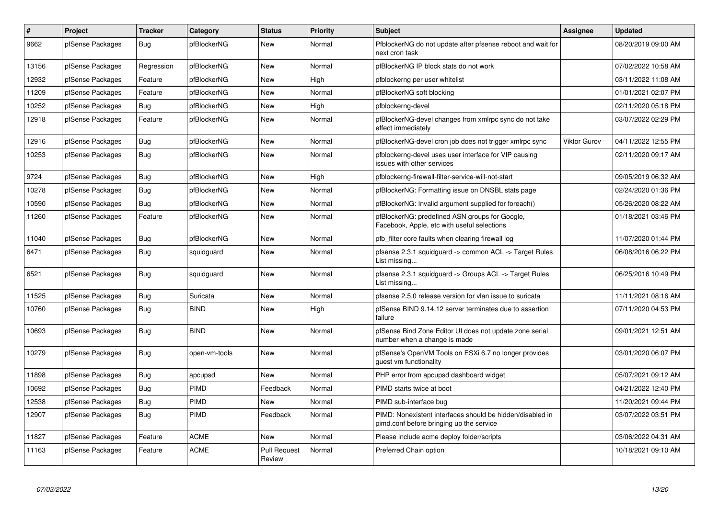| $\#$  | Project          | <b>Tracker</b> | Category      | <b>Status</b>                 | <b>Priority</b> | <b>Subject</b>                                                                                        | Assignee            | <b>Updated</b>      |
|-------|------------------|----------------|---------------|-------------------------------|-----------------|-------------------------------------------------------------------------------------------------------|---------------------|---------------------|
| 9662  | pfSense Packages | Bug            | pfBlockerNG   | <b>New</b>                    | Normal          | PfblockerNG do not update after pfsense reboot and wait for<br>next cron task                         |                     | 08/20/2019 09:00 AM |
| 13156 | pfSense Packages | Regression     | pfBlockerNG   | New                           | Normal          | pfBlockerNG IP block stats do not work                                                                |                     | 07/02/2022 10:58 AM |
| 12932 | pfSense Packages | Feature        | pfBlockerNG   | <b>New</b>                    | High            | pfblockerng per user whitelist                                                                        |                     | 03/11/2022 11:08 AM |
| 11209 | pfSense Packages | Feature        | pfBlockerNG   | <b>New</b>                    | Normal          | pfBlockerNG soft blocking                                                                             |                     | 01/01/2021 02:07 PM |
| 10252 | pfSense Packages | Bug            | pfBlockerNG   | New                           | High            | pfblockerng-devel                                                                                     |                     | 02/11/2020 05:18 PM |
| 12918 | pfSense Packages | Feature        | pfBlockerNG   | <b>New</b>                    | Normal          | pfBlockerNG-devel changes from xmlrpc sync do not take<br>effect immediately                          |                     | 03/07/2022 02:29 PM |
| 12916 | pfSense Packages | Bug            | pfBlockerNG   | <b>New</b>                    | Normal          | pfBlockerNG-devel cron job does not trigger xmlrpc sync                                               | <b>Viktor Gurov</b> | 04/11/2022 12:55 PM |
| 10253 | pfSense Packages | <b>Bug</b>     | pfBlockerNG   | <b>New</b>                    | Normal          | pfblockerng-devel uses user interface for VIP causing<br>issues with other services                   |                     | 02/11/2020 09:17 AM |
| 9724  | pfSense Packages | Bug            | pfBlockerNG   | <b>New</b>                    | High            | pfblockerng-firewall-filter-service-will-not-start                                                    |                     | 09/05/2019 06:32 AM |
| 10278 | pfSense Packages | Bug            | pfBlockerNG   | New                           | Normal          | pfBlockerNG: Formatting issue on DNSBL stats page                                                     |                     | 02/24/2020 01:36 PM |
| 10590 | pfSense Packages | <b>Bug</b>     | pfBlockerNG   | <b>New</b>                    | Normal          | pfBlockerNG: Invalid argument supplied for foreach()                                                  |                     | 05/26/2020 08:22 AM |
| 11260 | pfSense Packages | Feature        | pfBlockerNG   | <b>New</b>                    | Normal          | pfBlockerNG: predefined ASN groups for Google,<br>Facebook, Apple, etc with useful selections         |                     | 01/18/2021 03:46 PM |
| 11040 | pfSense Packages | Bug            | pfBlockerNG   | <b>New</b>                    | Normal          | pfb filter core faults when clearing firewall log                                                     |                     | 11/07/2020 01:44 PM |
| 6471  | pfSense Packages | Bug            | squidguard    | New                           | Normal          | pfsense 2.3.1 squidguard -> common ACL -> Target Rules<br>List missing                                |                     | 06/08/2016 06:22 PM |
| 6521  | pfSense Packages | <b>Bug</b>     | squidguard    | <b>New</b>                    | Normal          | pfsense 2.3.1 squidguard -> Groups ACL -> Target Rules<br>List missing                                |                     | 06/25/2016 10:49 PM |
| 11525 | pfSense Packages | Bug            | Suricata      | <b>New</b>                    | Normal          | pfsense 2.5.0 release version for vlan issue to suricata                                              |                     | 11/11/2021 08:16 AM |
| 10760 | pfSense Packages | <b>Bug</b>     | <b>BIND</b>   | <b>New</b>                    | High            | pfSense BIND 9.14.12 server terminates due to assertion<br>failure                                    |                     | 07/11/2020 04:53 PM |
| 10693 | pfSense Packages | <b>Bug</b>     | <b>BIND</b>   | <b>New</b>                    | Normal          | pfSense Bind Zone Editor UI does not update zone serial<br>number when a change is made               |                     | 09/01/2021 12:51 AM |
| 10279 | pfSense Packages | <b>Bug</b>     | open-vm-tools | <b>New</b>                    | Normal          | pfSense's OpenVM Tools on ESXi 6.7 no longer provides<br>quest vm functionality                       |                     | 03/01/2020 06:07 PM |
| 11898 | pfSense Packages | Bug            | apcupsd       | <b>New</b>                    | Normal          | PHP error from apcupsd dashboard widget                                                               |                     | 05/07/2021 09:12 AM |
| 10692 | pfSense Packages | Bug            | PIMD          | Feedback                      | Normal          | PIMD starts twice at boot                                                                             |                     | 04/21/2022 12:40 PM |
| 12538 | pfSense Packages | Bug            | PIMD          | New                           | Normal          | PIMD sub-interface bug                                                                                |                     | 11/20/2021 09:44 PM |
| 12907 | pfSense Packages | <b>Bug</b>     | <b>PIMD</b>   | Feedback                      | Normal          | PIMD: Nonexistent interfaces should be hidden/disabled in<br>pimd.conf before bringing up the service |                     | 03/07/2022 03:51 PM |
| 11827 | pfSense Packages | Feature        | <b>ACME</b>   | <b>New</b>                    | Normal          | Please include acme deploy folder/scripts                                                             |                     | 03/06/2022 04:31 AM |
| 11163 | pfSense Packages | Feature        | <b>ACME</b>   | <b>Pull Request</b><br>Review | Normal          | Preferred Chain option                                                                                |                     | 10/18/2021 09:10 AM |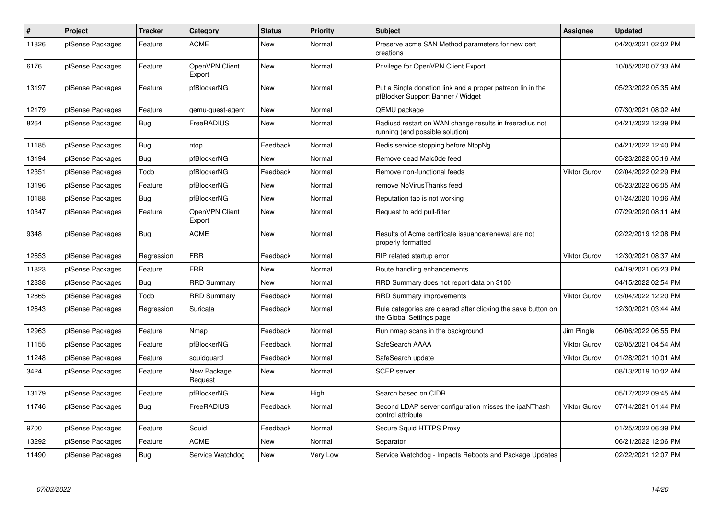| $\#$  | <b>Project</b>   | <b>Tracker</b> | Category                 | <b>Status</b> | <b>Priority</b> | <b>Subject</b>                                                                                  | <b>Assignee</b>     | <b>Updated</b>      |
|-------|------------------|----------------|--------------------------|---------------|-----------------|-------------------------------------------------------------------------------------------------|---------------------|---------------------|
| 11826 | pfSense Packages | Feature        | <b>ACME</b>              | <b>New</b>    | Normal          | Preserve acme SAN Method parameters for new cert<br>creations                                   |                     | 04/20/2021 02:02 PM |
| 6176  | pfSense Packages | Feature        | OpenVPN Client<br>Export | <b>New</b>    | Normal          | Privilege for OpenVPN Client Export                                                             |                     | 10/05/2020 07:33 AM |
| 13197 | pfSense Packages | Feature        | pfBlockerNG              | <b>New</b>    | Normal          | Put a Single donation link and a proper patreon lin in the<br>pfBlocker Support Banner / Widget |                     | 05/23/2022 05:35 AM |
| 12179 | pfSense Packages | Feature        | gemu-guest-agent         | <b>New</b>    | Normal          | QEMU package                                                                                    |                     | 07/30/2021 08:02 AM |
| 8264  | pfSense Packages | <b>Bug</b>     | FreeRADIUS               | <b>New</b>    | Normal          | Radiusd restart on WAN change results in freeradius not<br>running (and possible solution)      |                     | 04/21/2022 12:39 PM |
| 11185 | pfSense Packages | <b>Bug</b>     | ntop                     | Feedback      | Normal          | Redis service stopping before NtopNg                                                            |                     | 04/21/2022 12:40 PM |
| 13194 | pfSense Packages | Bug            | pfBlockerNG              | <b>New</b>    | Normal          | Remove dead Malc0de feed                                                                        |                     | 05/23/2022 05:16 AM |
| 12351 | pfSense Packages | Todo           | pfBlockerNG              | Feedback      | Normal          | Remove non-functional feeds                                                                     | <b>Viktor Gurov</b> | 02/04/2022 02:29 PM |
| 13196 | pfSense Packages | Feature        | pfBlockerNG              | <b>New</b>    | Normal          | remove NoVirusThanks feed                                                                       |                     | 05/23/2022 06:05 AM |
| 10188 | pfSense Packages | Bug            | pfBlockerNG              | <b>New</b>    | Normal          | Reputation tab is not working                                                                   |                     | 01/24/2020 10:06 AM |
| 10347 | pfSense Packages | Feature        | OpenVPN Client<br>Export | <b>New</b>    | Normal          | Request to add pull-filter                                                                      |                     | 07/29/2020 08:11 AM |
| 9348  | pfSense Packages | Bug            | <b>ACME</b>              | <b>New</b>    | Normal          | Results of Acme certificate issuance/renewal are not<br>properly formatted                      |                     | 02/22/2019 12:08 PM |
| 12653 | pfSense Packages | Regression     | <b>FRR</b>               | Feedback      | Normal          | RIP related startup error                                                                       | <b>Viktor Gurov</b> | 12/30/2021 08:37 AM |
| 11823 | pfSense Packages | Feature        | <b>FRR</b>               | <b>New</b>    | Normal          | Route handling enhancements                                                                     |                     | 04/19/2021 06:23 PM |
| 2338  | pfSense Packages | <b>Bug</b>     | <b>RRD Summary</b>       | New           | Normal          | RRD Summary does not report data on 3100                                                        |                     | 04/15/2022 02:54 PM |
| 12865 | pfSense Packages | Todo           | <b>RRD Summary</b>       | Feedback      | Normal          | <b>RRD Summary improvements</b>                                                                 | <b>Viktor Gurov</b> | 03/04/2022 12:20 PM |
| 12643 | pfSense Packages | Regression     | Suricata                 | Feedback      | Normal          | Rule categories are cleared after clicking the save button on<br>the Global Settings page       |                     | 12/30/2021 03:44 AM |
| 12963 | pfSense Packages | Feature        | Nmap                     | Feedback      | Normal          | Run nmap scans in the background                                                                | Jim Pingle          | 06/06/2022 06:55 PM |
| 11155 | pfSense Packages | Feature        | pfBlockerNG              | Feedback      | Normal          | SafeSearch AAAA                                                                                 | Viktor Gurov        | 02/05/2021 04:54 AM |
| 11248 | pfSense Packages | Feature        | squidguard               | Feedback      | Normal          | SafeSearch update                                                                               | <b>Viktor Gurov</b> | 01/28/2021 10:01 AM |
| 3424  | pfSense Packages | Feature        | New Package<br>Request   | <b>New</b>    | Normal          | <b>SCEP</b> server                                                                              |                     | 08/13/2019 10:02 AM |
| 13179 | pfSense Packages | Feature        | pfBlockerNG              | New           | High            | Search based on CIDR                                                                            |                     | 05/17/2022 09:45 AM |
| 11746 | pfSense Packages | <b>Bug</b>     | FreeRADIUS               | Feedback      | Normal          | Second LDAP server configuration misses the ipaNThash<br>control attribute                      | <b>Viktor Gurov</b> | 07/14/2021 01:44 PM |
| 9700  | pfSense Packages | Feature        | Squid                    | Feedback      | Normal          | Secure Squid HTTPS Proxy                                                                        |                     | 01/25/2022 06:39 PM |
| 13292 | pfSense Packages | Feature        | <b>ACME</b>              | <b>New</b>    | Normal          | Separator                                                                                       |                     | 06/21/2022 12:06 PM |
| 11490 | pfSense Packages | Bug            | Service Watchdog         | <b>New</b>    | Very Low        | Service Watchdog - Impacts Reboots and Package Updates                                          |                     | 02/22/2021 12:07 PM |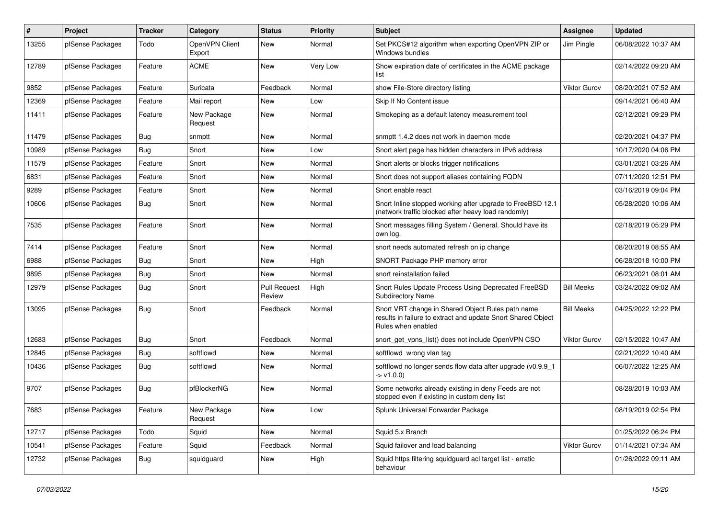| #     | Project          | <b>Tracker</b> | Category                 | <b>Status</b>                 | <b>Priority</b> | <b>Subject</b>                                                                                                                          | <b>Assignee</b>     | <b>Updated</b>      |
|-------|------------------|----------------|--------------------------|-------------------------------|-----------------|-----------------------------------------------------------------------------------------------------------------------------------------|---------------------|---------------------|
| 13255 | pfSense Packages | Todo           | OpenVPN Client<br>Export | New                           | Normal          | Set PKCS#12 algorithm when exporting OpenVPN ZIP or<br>Windows bundles                                                                  | Jim Pingle          | 06/08/2022 10:37 AM |
| 12789 | pfSense Packages | Feature        | <b>ACME</b>              | <b>New</b>                    | Very Low        | Show expiration date of certificates in the ACME package<br>list                                                                        |                     | 02/14/2022 09:20 AM |
| 9852  | pfSense Packages | Feature        | Suricata                 | Feedback                      | Normal          | show File-Store directory listing                                                                                                       | <b>Viktor Gurov</b> | 08/20/2021 07:52 AM |
| 12369 | pfSense Packages | Feature        | Mail report              | New                           | Low             | Skip If No Content issue                                                                                                                |                     | 09/14/2021 06:40 AM |
| 11411 | pfSense Packages | Feature        | New Package<br>Request   | <b>New</b>                    | Normal          | Smokeping as a default latency measurement tool                                                                                         |                     | 02/12/2021 09:29 PM |
| 11479 | pfSense Packages | <b>Bug</b>     | snmptt                   | <b>New</b>                    | Normal          | snmptt 1.4.2 does not work in daemon mode                                                                                               |                     | 02/20/2021 04:37 PM |
| 10989 | pfSense Packages | Bug            | Snort                    | <b>New</b>                    | Low             | Snort alert page has hidden characters in IPv6 address                                                                                  |                     | 10/17/2020 04:06 PM |
| 11579 | pfSense Packages | Feature        | Snort                    | New                           | Normal          | Snort alerts or blocks trigger notifications                                                                                            |                     | 03/01/2021 03:26 AM |
| 6831  | pfSense Packages | Feature        | Snort                    | New                           | Normal          | Snort does not support aliases containing FQDN                                                                                          |                     | 07/11/2020 12:51 PM |
| 9289  | pfSense Packages | Feature        | Snort                    | <b>New</b>                    | Normal          | Snort enable react                                                                                                                      |                     | 03/16/2019 09:04 PM |
| 10606 | pfSense Packages | Bug            | Snort                    | New                           | Normal          | Snort Inline stopped working after upgrade to FreeBSD 12.1<br>(network traffic blocked after heavy load randomly)                       |                     | 05/28/2020 10:06 AM |
| 7535  | pfSense Packages | Feature        | Snort                    | <b>New</b>                    | Normal          | Snort messages filling System / General. Should have its<br>own log.                                                                    |                     | 02/18/2019 05:29 PM |
| 7414  | pfSense Packages | Feature        | Snort                    | New                           | Normal          | snort needs automated refresh on ip change                                                                                              |                     | 08/20/2019 08:55 AM |
| 6988  | pfSense Packages | <b>Bug</b>     | Snort                    | New                           | High            | SNORT Package PHP memory error                                                                                                          |                     | 06/28/2018 10:00 PM |
| 9895  | pfSense Packages | Bug            | Snort                    | New                           | Normal          | snort reinstallation failed                                                                                                             |                     | 06/23/2021 08:01 AM |
| 12979 | pfSense Packages | <b>Bug</b>     | Snort                    | <b>Pull Request</b><br>Review | High            | Snort Rules Update Process Using Deprecated FreeBSD<br>Subdirectory Name                                                                | <b>Bill Meeks</b>   | 03/24/2022 09:02 AM |
| 13095 | pfSense Packages | Bug            | Snort                    | Feedback                      | Normal          | Snort VRT change in Shared Object Rules path name<br>results in failure to extract and update Snort Shared Object<br>Rules when enabled | <b>Bill Meeks</b>   | 04/25/2022 12:22 PM |
| 12683 | pfSense Packages | <b>Bug</b>     | Snort                    | Feedback                      | Normal          | snort get vpns list() does not include OpenVPN CSO                                                                                      | <b>Viktor Gurov</b> | 02/15/2022 10:47 AM |
| 12845 | pfSense Packages | <b>Bug</b>     | softflowd                | New                           | Normal          | softflowd wrong vlan tag                                                                                                                |                     | 02/21/2022 10:40 AM |
| 10436 | pfSense Packages | Bug            | softflowd                | New                           | Normal          | softflowd no longer sends flow data after upgrade (v0.9.9_1<br>$\rightarrow$ v1.0.0)                                                    |                     | 06/07/2022 12:25 AM |
| 9707  | pfSense Packages | Bug            | pfBlockerNG              | <b>New</b>                    | Normal          | Some networks already existing in deny Feeds are not<br>stopped even if existing in custom deny list                                    |                     | 08/28/2019 10:03 AM |
| 7683  | pfSense Packages | Feature        | New Package<br>Request   | New                           | Low             | Splunk Universal Forwarder Package                                                                                                      |                     | 08/19/2019 02:54 PM |
| 12717 | pfSense Packages | Todo           | Squid                    | New                           | Normal          | Squid 5.x Branch                                                                                                                        |                     | 01/25/2022 06:24 PM |
| 10541 | pfSense Packages | Feature        | Squid                    | Feedback                      | Normal          | Squid failover and load balancing                                                                                                       | Viktor Gurov        | 01/14/2021 07:34 AM |
| 12732 | pfSense Packages | Bug            | squidguard               | New                           | High            | Squid https filtering squidguard acl target list - erratic<br>behaviour                                                                 |                     | 01/26/2022 09:11 AM |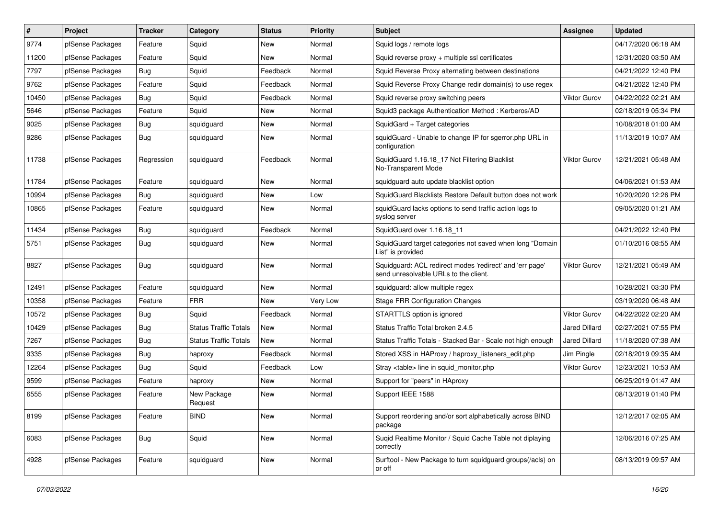| #     | Project          | <b>Tracker</b> | Category                     | <b>Status</b> | Priority | <b>Subject</b>                                                                                    | <b>Assignee</b>      | <b>Updated</b>      |
|-------|------------------|----------------|------------------------------|---------------|----------|---------------------------------------------------------------------------------------------------|----------------------|---------------------|
| 9774  | pfSense Packages | Feature        | Squid                        | New           | Normal   | Squid logs / remote logs                                                                          |                      | 04/17/2020 06:18 AM |
| 11200 | pfSense Packages | Feature        | Squid                        | <b>New</b>    | Normal   | Squid reverse proxy + multiple ssl certificates                                                   |                      | 12/31/2020 03:50 AM |
| 7797  | pfSense Packages | Bug            | Squid                        | Feedback      | Normal   | Squid Reverse Proxy alternating between destinations                                              |                      | 04/21/2022 12:40 PM |
| 9762  | pfSense Packages | Feature        | Squid                        | Feedback      | Normal   | Squid Reverse Proxy Change redir domain(s) to use regex                                           |                      | 04/21/2022 12:40 PM |
| 10450 | pfSense Packages | Bug            | Squid                        | Feedback      | Normal   | Squid reverse proxy switching peers                                                               | Viktor Gurov         | 04/22/2022 02:21 AM |
| 5646  | pfSense Packages | Feature        | Squid                        | New           | Normal   | Squid3 package Authentication Method: Kerberos/AD                                                 |                      | 02/18/2019 05:34 PM |
| 9025  | pfSense Packages | Bug            | squidguard                   | New           | Normal   | SquidGard + Target categories                                                                     |                      | 10/08/2018 01:00 AM |
| 9286  | pfSense Packages | <b>Bug</b>     | squidguard                   | <b>New</b>    | Normal   | squidGuard - Unable to change IP for sgerror.php URL in<br>configuration                          |                      | 11/13/2019 10:07 AM |
| 11738 | pfSense Packages | Regression     | squidguard                   | Feedback      | Normal   | SquidGuard 1.16.18 17 Not Filtering Blacklist<br>No-Transparent Mode                              | <b>Viktor Gurov</b>  | 12/21/2021 05:48 AM |
| 11784 | pfSense Packages | Feature        | squidguard                   | <b>New</b>    | Normal   | squidguard auto update blacklist option                                                           |                      | 04/06/2021 01:53 AM |
| 10994 | pfSense Packages | <b>Bug</b>     | squidguard                   | <b>New</b>    | Low      | SquidGuard Blacklists Restore Default button does not work                                        |                      | 10/20/2020 12:26 PM |
| 10865 | pfSense Packages | Feature        | squidguard                   | New           | Normal   | squidGuard lacks options to send traffic action logs to<br>syslog server                          |                      | 09/05/2020 01:21 AM |
| 11434 | pfSense Packages | Bug            | squidguard                   | Feedback      | Normal   | SquidGuard over 1.16.18 11                                                                        |                      | 04/21/2022 12:40 PM |
| 5751  | pfSense Packages | Bug            | squidguard                   | New           | Normal   | SquidGuard target categories not saved when long "Domain<br>List" is provided                     |                      | 01/10/2016 08:55 AM |
| 8827  | pfSense Packages | Bug            | squidguard                   | <b>New</b>    | Normal   | Squidguard: ACL redirect modes 'redirect' and 'err page'<br>send unresolvable URLs to the client. | <b>Viktor Gurov</b>  | 12/21/2021 05:49 AM |
| 12491 | pfSense Packages | Feature        | squidguard                   | <b>New</b>    | Normal   | squidguard: allow multiple regex                                                                  |                      | 10/28/2021 03:30 PM |
| 10358 | pfSense Packages | Feature        | <b>FRR</b>                   | New           | Very Low | <b>Stage FRR Configuration Changes</b>                                                            |                      | 03/19/2020 06:48 AM |
| 10572 | pfSense Packages | Bug            | Squid                        | Feedback      | Normal   | STARTTLS option is ignored                                                                        | <b>Viktor Gurov</b>  | 04/22/2022 02:20 AM |
| 10429 | pfSense Packages | Bug            | <b>Status Traffic Totals</b> | <b>New</b>    | Normal   | Status Traffic Total broken 2.4.5                                                                 | <b>Jared Dillard</b> | 02/27/2021 07:55 PM |
| 7267  | pfSense Packages | Bug            | <b>Status Traffic Totals</b> | New           | Normal   | Status Traffic Totals - Stacked Bar - Scale not high enough                                       | <b>Jared Dillard</b> | 11/18/2020 07:38 AM |
| 9335  | pfSense Packages | <b>Bug</b>     | haproxy                      | Feedback      | Normal   | Stored XSS in HAProxy / haproxy listeners edit.php                                                | Jim Pingle           | 02/18/2019 09:35 AM |
| 12264 | pfSense Packages | Bug            | Squid                        | Feedback      | Low      | Stray <table> line in squid monitor.php</table>                                                   | Viktor Gurov         | 12/23/2021 10:53 AM |
| 9599  | pfSense Packages | Feature        | haproxy                      | <b>New</b>    | Normal   | Support for "peers" in HAproxy                                                                    |                      | 06/25/2019 01:47 AM |
| 6555  | pfSense Packages | Feature        | New Package<br>Request       | New           | Normal   | Support IEEE 1588                                                                                 |                      | 08/13/2019 01:40 PM |
| 8199  | pfSense Packages | Feature        | <b>BIND</b>                  | New           | Normal   | Support reordering and/or sort alphabetically across BIND<br>package                              |                      | 12/12/2017 02:05 AM |
| 6083  | pfSense Packages | Bug            | Squid                        | <b>New</b>    | Normal   | Suqid Realtime Monitor / Squid Cache Table not diplaying<br>correctly                             |                      | 12/06/2016 07:25 AM |
| 4928  | pfSense Packages | Feature        | squidguard                   | New           | Normal   | Surftool - New Package to turn squidguard groups(/acls) on<br>or off                              |                      | 08/13/2019 09:57 AM |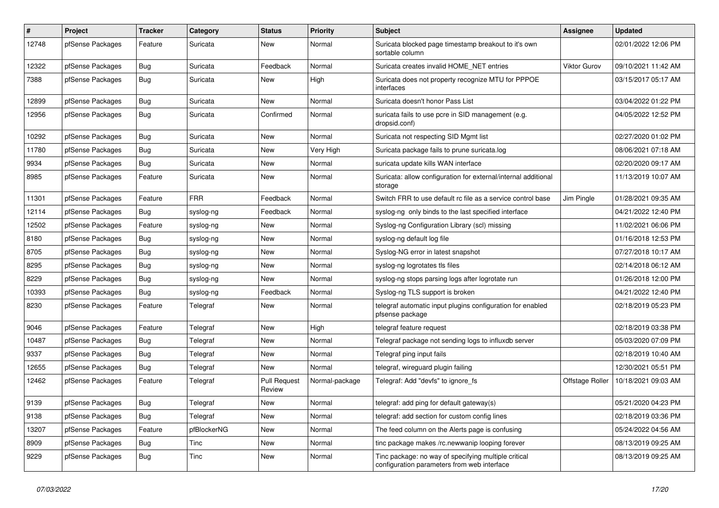| $\pmb{\#}$ | Project          | <b>Tracker</b> | Category    | <b>Status</b>                 | <b>Priority</b> | <b>Subject</b>                                                                                      | <b>Assignee</b> | <b>Updated</b>      |
|------------|------------------|----------------|-------------|-------------------------------|-----------------|-----------------------------------------------------------------------------------------------------|-----------------|---------------------|
| 12748      | pfSense Packages | Feature        | Suricata    | New                           | Normal          | Suricata blocked page timestamp breakout to it's own<br>sortable column                             |                 | 02/01/2022 12:06 PM |
| 12322      | pfSense Packages | Bug            | Suricata    | Feedback                      | Normal          | Suricata creates invalid HOME NET entries                                                           | Viktor Gurov    | 09/10/2021 11:42 AM |
| 7388       | pfSense Packages | Bug            | Suricata    | New                           | High            | Suricata does not property recognize MTU for PPPOE<br>interfaces                                    |                 | 03/15/2017 05:17 AM |
| 12899      | pfSense Packages | <b>Bug</b>     | Suricata    | <b>New</b>                    | Normal          | Suricata doesn't honor Pass List                                                                    |                 | 03/04/2022 01:22 PM |
| 12956      | pfSense Packages | Bug            | Suricata    | Confirmed                     | Normal          | suricata fails to use pcre in SID management (e.g.<br>dropsid.conf)                                 |                 | 04/05/2022 12:52 PM |
| 10292      | pfSense Packages | Bug            | Suricata    | <b>New</b>                    | Normal          | Suricata not respecting SID Mgmt list                                                               |                 | 02/27/2020 01:02 PM |
| 11780      | pfSense Packages | Bug            | Suricata    | New                           | Very High       | Suricata package fails to prune suricata.log                                                        |                 | 08/06/2021 07:18 AM |
| 9934       | pfSense Packages | Bug            | Suricata    | <b>New</b>                    | Normal          | suricata update kills WAN interface                                                                 |                 | 02/20/2020 09:17 AM |
| 8985       | pfSense Packages | Feature        | Suricata    | New                           | Normal          | Suricata: allow configuration for external/internal additional<br>storage                           |                 | 11/13/2019 10:07 AM |
| 11301      | pfSense Packages | Feature        | <b>FRR</b>  | Feedback                      | Normal          | Switch FRR to use default rc file as a service control base                                         | Jim Pingle      | 01/28/2021 09:35 AM |
| 12114      | pfSense Packages | <b>Bug</b>     | syslog-ng   | Feedback                      | Normal          | syslog-ng only binds to the last specified interface                                                |                 | 04/21/2022 12:40 PM |
| 12502      | pfSense Packages | Feature        | syslog-ng   | New                           | Normal          | Syslog-ng Configuration Library (scl) missing                                                       |                 | 11/02/2021 06:06 PM |
| 8180       | pfSense Packages | <b>Bug</b>     | syslog-ng   | New                           | Normal          | syslog-ng default log file                                                                          |                 | 01/16/2018 12:53 PM |
| 8705       | pfSense Packages | Bug            | syslog-ng   | New                           | Normal          | Syslog-NG error in latest snapshot                                                                  |                 | 07/27/2018 10:17 AM |
| 8295       | pfSense Packages | Bug            | syslog-ng   | <b>New</b>                    | Normal          | syslog-ng logrotates tls files                                                                      |                 | 02/14/2018 06:12 AM |
| 8229       | pfSense Packages | <b>Bug</b>     | syslog-ng   | New                           | Normal          | syslog-ng stops parsing logs after logrotate run                                                    |                 | 01/26/2018 12:00 PM |
| 10393      | pfSense Packages | <b>Bug</b>     | syslog-ng   | Feedback                      | Normal          | Syslog-ng TLS support is broken                                                                     |                 | 04/21/2022 12:40 PM |
| 8230       | pfSense Packages | Feature        | Telegraf    | New                           | Normal          | telegraf automatic input plugins configuration for enabled<br>pfsense package                       |                 | 02/18/2019 05:23 PM |
| 9046       | pfSense Packages | Feature        | Telegraf    | New                           | High            | telegraf feature request                                                                            |                 | 02/18/2019 03:38 PM |
| 10487      | pfSense Packages | Bug            | Telegraf    | New                           | Normal          | Telegraf package not sending logs to influxdb server                                                |                 | 05/03/2020 07:09 PM |
| 9337       | pfSense Packages | Bug            | Telegraf    | <b>New</b>                    | Normal          | Telegraf ping input fails                                                                           |                 | 02/18/2019 10:40 AM |
| 12655      | pfSense Packages | Bug            | Telegraf    | <b>New</b>                    | Normal          | telegraf, wireguard plugin failing                                                                  |                 | 12/30/2021 05:51 PM |
| 12462      | pfSense Packages | Feature        | Telegraf    | <b>Pull Request</b><br>Review | Normal-package  | Telegraf: Add "devfs" to ignore fs                                                                  | Offstage Roller | 10/18/2021 09:03 AM |
| 9139       | pfSense Packages | Bug            | Telegraf    | <b>New</b>                    | Normal          | telegraf: add ping for default gateway(s)                                                           |                 | 05/21/2020 04:23 PM |
| 9138       | pfSense Packages | <b>Bug</b>     | Telegraf    | <b>New</b>                    | Normal          | telegraf: add section for custom config lines                                                       |                 | 02/18/2019 03:36 PM |
| 13207      | pfSense Packages | Feature        | pfBlockerNG | New                           | Normal          | The feed column on the Alerts page is confusing                                                     |                 | 05/24/2022 04:56 AM |
| 8909       | pfSense Packages | Bug            | Tinc        | New                           | Normal          | tinc package makes /rc.newwanip looping forever                                                     |                 | 08/13/2019 09:25 AM |
| 9229       | pfSense Packages | Bug            | Tinc        | <b>New</b>                    | Normal          | Tinc package: no way of specifying multiple critical<br>configuration parameters from web interface |                 | 08/13/2019 09:25 AM |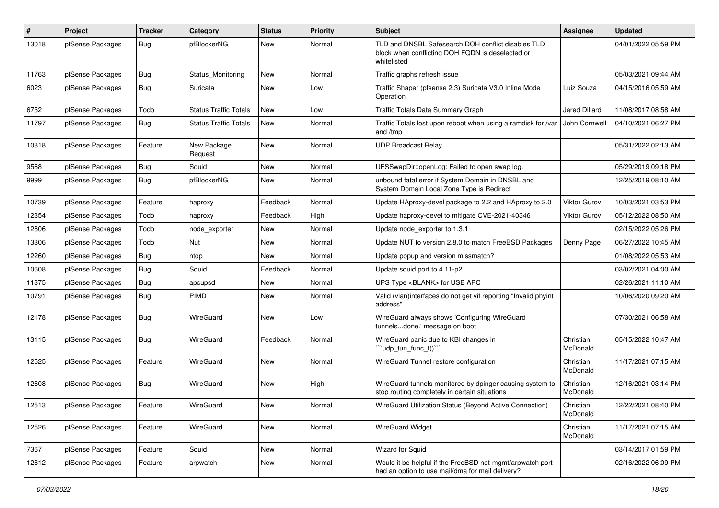| $\sharp$ | Project          | <b>Tracker</b> | Category                     | <b>Status</b> | <b>Priority</b> | <b>Subject</b>                                                                                                        | <b>Assignee</b>       | <b>Updated</b>      |
|----------|------------------|----------------|------------------------------|---------------|-----------------|-----------------------------------------------------------------------------------------------------------------------|-----------------------|---------------------|
| 13018    | pfSense Packages | Bug            | pfBlockerNG                  | New           | Normal          | TLD and DNSBL Safesearch DOH conflict disables TLD<br>block when conflicting DOH FQDN is deselected or<br>whitelisted |                       | 04/01/2022 05:59 PM |
| 11763    | pfSense Packages | <b>Bug</b>     | Status Monitoring            | New           | Normal          | Traffic graphs refresh issue                                                                                          |                       | 05/03/2021 09:44 AM |
| 6023     | pfSense Packages | Bug            | Suricata                     | <b>New</b>    | Low             | Traffic Shaper (pfsense 2.3) Suricata V3.0 Inline Mode<br>Operation                                                   | Luiz Souza            | 04/15/2016 05:59 AM |
| 6752     | pfSense Packages | Todo           | <b>Status Traffic Totals</b> | <b>New</b>    | Low             | Traffic Totals Data Summary Graph                                                                                     | <b>Jared Dillard</b>  | 11/08/2017 08:58 AM |
| 11797    | pfSense Packages | Bug            | <b>Status Traffic Totals</b> | New           | Normal          | Traffic Totals lost upon reboot when using a ramdisk for /var<br>and /tmp                                             | John Cornwell         | 04/10/2021 06:27 PM |
| 10818    | pfSense Packages | Feature        | New Package<br>Request       | New           | Normal          | <b>UDP Broadcast Relay</b>                                                                                            |                       | 05/31/2022 02:13 AM |
| 9568     | pfSense Packages | Bug            | Squid                        | New           | Normal          | UFSSwapDir::openLog: Failed to open swap log.                                                                         |                       | 05/29/2019 09:18 PM |
| 9999     | pfSense Packages | <b>Bug</b>     | pfBlockerNG                  | New           | Normal          | unbound fatal error if System Domain in DNSBL and<br>System Domain Local Zone Type is Redirect                        |                       | 12/25/2019 08:10 AM |
| 10739    | pfSense Packages | Feature        | haproxy                      | Feedback      | Normal          | Update HAproxy-devel package to 2.2 and HAproxy to 2.0                                                                | <b>Viktor Gurov</b>   | 10/03/2021 03:53 PM |
| 12354    | pfSense Packages | Todo           | haproxy                      | Feedback      | High            | Update haproxy-devel to mitigate CVE-2021-40346                                                                       | Viktor Gurov          | 05/12/2022 08:50 AM |
| 12806    | pfSense Packages | Todo           | node exporter                | New           | Normal          | Update node exporter to 1.3.1                                                                                         |                       | 02/15/2022 05:26 PM |
| 13306    | pfSense Packages | Todo           | Nut                          | New           | Normal          | Update NUT to version 2.8.0 to match FreeBSD Packages                                                                 | Denny Page            | 06/27/2022 10:45 AM |
| 12260    | pfSense Packages | Bug            | ntop                         | New           | Normal          | Update popup and version missmatch?                                                                                   |                       | 01/08/2022 05:53 AM |
| 10608    | pfSense Packages | <b>Bug</b>     | Squid                        | Feedback      | Normal          | Update squid port to 4.11-p2                                                                                          |                       | 03/02/2021 04:00 AM |
| 11375    | pfSense Packages | Bug            | apcupsd                      | New           | Normal          | UPS Type <blank> for USB APC</blank>                                                                                  |                       | 02/26/2021 11:10 AM |
| 10791    | pfSense Packages | Bug            | <b>PIMD</b>                  | New           | Normal          | Valid (vlan)interfaces do not get vif reporting "Invalid phyint<br>address"                                           |                       | 10/06/2020 09:20 AM |
| 12178    | pfSense Packages | Bug            | WireGuard                    | New           | Low             | WireGuard always shows 'Configuring WireGuard<br>tunnelsdone.' message on boot                                        |                       | 07/30/2021 06:58 AM |
| 13115    | pfSense Packages | Bug            | WireGuard                    | Feedback      | Normal          | WireGuard panic due to KBI changes in<br>"udp_tun_func_t()"                                                           | Christian<br>McDonald | 05/15/2022 10:47 AM |
| 12525    | pfSense Packages | Feature        | WireGuard                    | New           | Normal          | WireGuard Tunnel restore configuration                                                                                | Christian<br>McDonald | 11/17/2021 07:15 AM |
| 12608    | pfSense Packages | Bug            | WireGuard                    | New           | High            | WireGuard tunnels monitored by dpinger causing system to<br>stop routing completely in certain situations             | Christian<br>McDonald | 12/16/2021 03:14 PM |
| 12513    | pfSense Packages | Feature        | WireGuard                    | New           | Normal          | WireGuard Utilization Status (Beyond Active Connection)                                                               | Christian<br>McDonald | 12/22/2021 08:40 PM |
| 12526    | pfSense Packages | Feature        | WireGuard                    | New           | Normal          | <b>WireGuard Widget</b>                                                                                               | Christian<br>McDonald | 11/17/2021 07:15 AM |
| 7367     | pfSense Packages | Feature        | Squid                        | New           | Normal          | <b>Wizard for Squid</b>                                                                                               |                       | 03/14/2017 01:59 PM |
| 12812    | pfSense Packages | Feature        | arpwatch                     | New           | Normal          | Would it be helpful if the FreeBSD net-mgmt/arpwatch port<br>had an option to use mail/dma for mail delivery?         |                       | 02/16/2022 06:09 PM |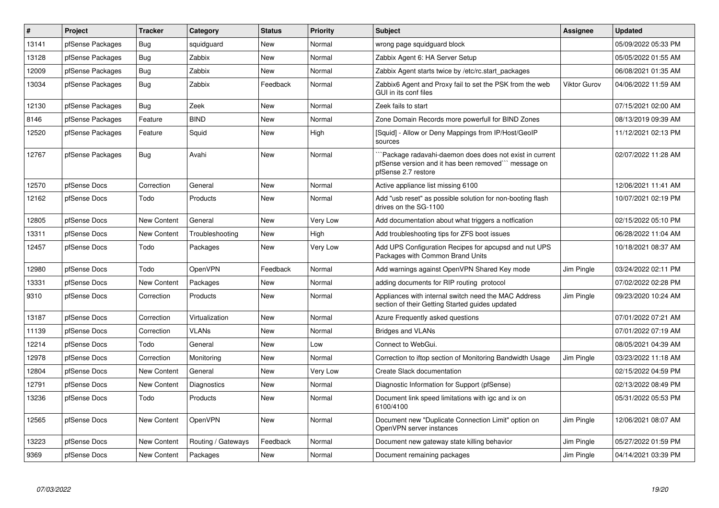| #     | <b>Project</b>   | <b>Tracker</b>     | Category           | <b>Status</b> | Priority | <b>Subject</b>                                                                                                                       | <b>Assignee</b>     | <b>Updated</b>      |
|-------|------------------|--------------------|--------------------|---------------|----------|--------------------------------------------------------------------------------------------------------------------------------------|---------------------|---------------------|
| 13141 | pfSense Packages | <b>Bug</b>         | squidguard         | <b>New</b>    | Normal   | wrong page squidguard block                                                                                                          |                     | 05/09/2022 05:33 PM |
| 13128 | pfSense Packages | Bug                | Zabbix             | New           | Normal   | Zabbix Agent 6: HA Server Setup                                                                                                      |                     | 05/05/2022 01:55 AM |
| 12009 | pfSense Packages | <b>Bug</b>         | Zabbix             | <b>New</b>    | Normal   | Zabbix Agent starts twice by /etc/rc.start packages                                                                                  |                     | 06/08/2021 01:35 AM |
| 13034 | pfSense Packages | Bug                | Zabbix             | Feedback      | Normal   | Zabbix6 Agent and Proxy fail to set the PSK from the web<br>GUI in its conf files                                                    | <b>Viktor Gurov</b> | 04/06/2022 11:59 AM |
| 12130 | pfSense Packages | Bug                | Zeek               | <b>New</b>    | Normal   | Zeek fails to start                                                                                                                  |                     | 07/15/2021 02:00 AM |
| 8146  | pfSense Packages | Feature            | <b>BIND</b>        | <b>New</b>    | Normal   | Zone Domain Records more powerfull for BIND Zones                                                                                    |                     | 08/13/2019 09:39 AM |
| 12520 | pfSense Packages | Feature            | Squid              | New           | High     | [Squid] - Allow or Deny Mappings from IP/Host/GeoIP<br>sources                                                                       |                     | 11/12/2021 02:13 PM |
| 12767 | pfSense Packages | <b>Bug</b>         | Avahi              | New           | Normal   | Package radavahi-daemon does does not exist in current<br>pfSense version and it has been removed" message on<br>pfSense 2.7 restore |                     | 02/07/2022 11:28 AM |
| 12570 | pfSense Docs     | Correction         | General            | <b>New</b>    | Normal   | Active appliance list missing 6100                                                                                                   |                     | 12/06/2021 11:41 AM |
| 12162 | pfSense Docs     | Todo               | Products           | <b>New</b>    | Normal   | Add "usb reset" as possible solution for non-booting flash<br>drives on the SG-1100                                                  |                     | 10/07/2021 02:19 PM |
| 12805 | pfSense Docs     | <b>New Content</b> | General            | <b>New</b>    | Very Low | Add documentation about what triggers a notfication                                                                                  |                     | 02/15/2022 05:10 PM |
| 13311 | pfSense Docs     | New Content        | Troubleshooting    | <b>New</b>    | High     | Add troubleshooting tips for ZFS boot issues                                                                                         |                     | 06/28/2022 11:04 AM |
| 12457 | pfSense Docs     | Todo               | Packages           | New           | Very Low | Add UPS Configuration Recipes for apcupsd and nut UPS<br>Packages with Common Brand Units                                            |                     | 10/18/2021 08:37 AM |
| 12980 | pfSense Docs     | Todo               | OpenVPN            | Feedback      | Normal   | Add warnings against OpenVPN Shared Key mode                                                                                         | Jim Pingle          | 03/24/2022 02:11 PM |
| 13331 | pfSense Docs     | <b>New Content</b> | Packages           | New           | Normal   | adding documents for RIP routing protocol                                                                                            |                     | 07/02/2022 02:28 PM |
| 9310  | pfSense Docs     | Correction         | Products           | New           | Normal   | Appliances with internal switch need the MAC Address<br>section of their Getting Started guides updated                              | Jim Pingle          | 09/23/2020 10:24 AM |
| 13187 | pfSense Docs     | Correction         | Virtualization     | <b>New</b>    | Normal   | Azure Frequently asked questions                                                                                                     |                     | 07/01/2022 07:21 AM |
| 11139 | pfSense Docs     | Correction         | VLANs              | New           | Normal   | <b>Bridges and VLANs</b>                                                                                                             |                     | 07/01/2022 07:19 AM |
| 12214 | pfSense Docs     | Todo               | General            | New           | Low      | Connect to WebGui.                                                                                                                   |                     | 08/05/2021 04:39 AM |
| 12978 | pfSense Docs     | Correction         | Monitoring         | <b>New</b>    | Normal   | Correction to iftop section of Monitoring Bandwidth Usage                                                                            | Jim Pingle          | 03/23/2022 11:18 AM |
| 12804 | pfSense Docs     | <b>New Content</b> | General            | New           | Very Low | Create Slack documentation                                                                                                           |                     | 02/15/2022 04:59 PM |
| 12791 | pfSense Docs     | New Content        | Diagnostics        | <b>New</b>    | Normal   | Diagnostic Information for Support (pfSense)                                                                                         |                     | 02/13/2022 08:49 PM |
| 13236 | pfSense Docs     | Todo               | Products           | <b>New</b>    | Normal   | Document link speed limitations with igc and ix on<br>6100/4100                                                                      |                     | 05/31/2022 05:53 PM |
| 12565 | pfSense Docs     | New Content        | OpenVPN            | <b>New</b>    | Normal   | Document new "Duplicate Connection Limit" option on<br>OpenVPN server instances                                                      | Jim Pingle          | 12/06/2021 08:07 AM |
| 13223 | pfSense Docs     | <b>New Content</b> | Routing / Gateways | Feedback      | Normal   | Document new gateway state killing behavior                                                                                          | Jim Pingle          | 05/27/2022 01:59 PM |
| 9369  | pfSense Docs     | New Content        | Packages           | <b>New</b>    | Normal   | Document remaining packages                                                                                                          | Jim Pingle          | 04/14/2021 03:39 PM |